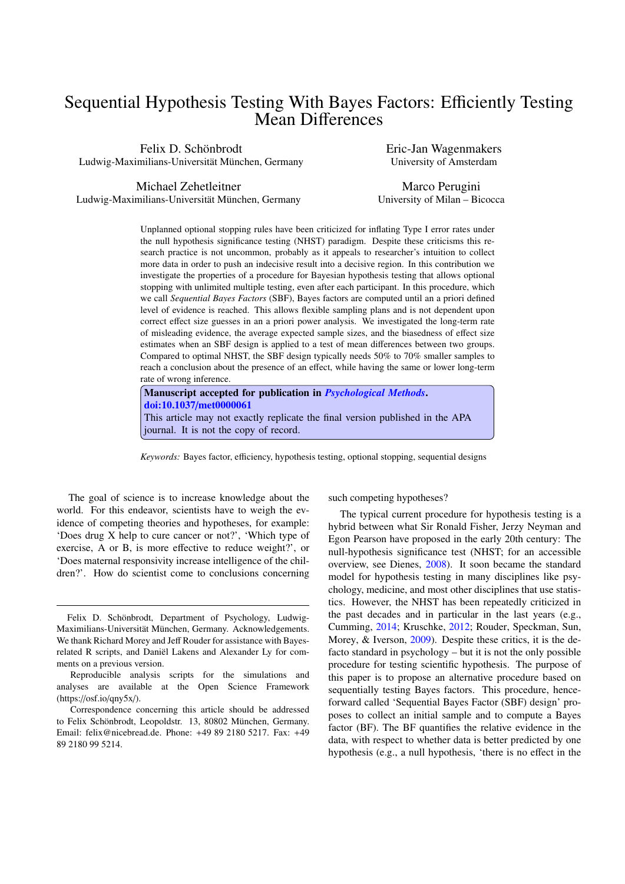# Sequential Hypothesis Testing With Bayes Factors: Efficiently Testing Mean Differences

Felix D. Schönbrodt Ludwig-Maximilians-Universität München, Germany Eric-Jan Wagenmakers University of Amsterdam

Michael Zehetleitner Ludwig-Maximilians-Universität München, Germany

Marco Perugini University of Milan – Bicocca

Unplanned optional stopping rules have been criticized for inflating Type I error rates under the null hypothesis significance testing (NHST) paradigm. Despite these criticisms this research practice is not uncommon, probably as it appeals to researcher's intuition to collect more data in order to push an indecisive result into a decisive region. In this contribution we investigate the properties of a procedure for Bayesian hypothesis testing that allows optional stopping with unlimited multiple testing, even after each participant. In this procedure, which we call *Sequential Bayes Factors* (SBF), Bayes factors are computed until an a priori defined level of evidence is reached. This allows flexible sampling plans and is not dependent upon correct effect size guesses in an a priori power analysis. We investigated the long-term rate of misleading evidence, the average expected sample sizes, and the biasedness of effect size estimates when an SBF design is applied to a test of mean differences between two groups. Compared to optimal NHST, the SBF design typically needs 50% to 70% smaller samples to reach a conclusion about the presence of an effect, while having the same or lower long-term rate of wrong inference.

Manuscript accepted for publication in *[Psychological Methods](http://www.apa.org/pubs/journals/met/)*. doi:10.1037/[met0000061](http://psycnet.apa.org/doi/10.1037/met0000061) This article may not exactly replicate the final version published in the APA journal. It is not the copy of record.

*Keywords:* Bayes factor, efficiency, hypothesis testing, optional stopping, sequential designs

The goal of science is to increase knowledge about the world. For this endeavor, scientists have to weigh the evidence of competing theories and hypotheses, for example: 'Does drug X help to cure cancer or not?', 'Which type of exercise, A or B, is more effective to reduce weight?', or 'Does maternal responsivity increase intelligence of the children?'. How do scientist come to conclusions concerning

such competing hypotheses?

The typical current procedure for hypothesis testing is a hybrid between what Sir Ronald Fisher, Jerzy Neyman and Egon Pearson have proposed in the early 20th century: The null-hypothesis significance test (NHST; for an accessible overview, see Dienes, [2008\)](#page-15-0). It soon became the standard model for hypothesis testing in many disciplines like psychology, medicine, and most other disciplines that use statistics. However, the NHST has been repeatedly criticized in the past decades and in particular in the last years (e.g., Cumming, [2014;](#page-15-1) Kruschke, [2012;](#page-16-0) Rouder, Speckman, Sun, Morey, & Iverson, [2009\)](#page-17-0). Despite these critics, it is the defacto standard in psychology – but it is not the only possible procedure for testing scientific hypothesis. The purpose of this paper is to propose an alternative procedure based on sequentially testing Bayes factors. This procedure, henceforward called 'Sequential Bayes Factor (SBF) design' proposes to collect an initial sample and to compute a Bayes factor (BF). The BF quantifies the relative evidence in the data, with respect to whether data is better predicted by one hypothesis (e.g., a null hypothesis, 'there is no effect in the

Felix D. Schönbrodt, Department of Psychology, Ludwig-Maximilians-Universität München, Germany. Acknowledgements. We thank Richard Morey and Jeff Rouder for assistance with Bayesrelated R scripts, and Daniël Lakens and Alexander Ly for comments on a previous version.

Reproducible analysis scripts for the simulations and analyses are available at the Open Science Framework  $(https://osf.io/qny5x/).$ 

Correspondence concerning this article should be addressed to Felix Schönbrodt, Leopoldstr. 13, 80802 München, Germany. Email: felix@nicebread.de. Phone: +49 89 2180 5217. Fax: +49 89 2180 99 5214.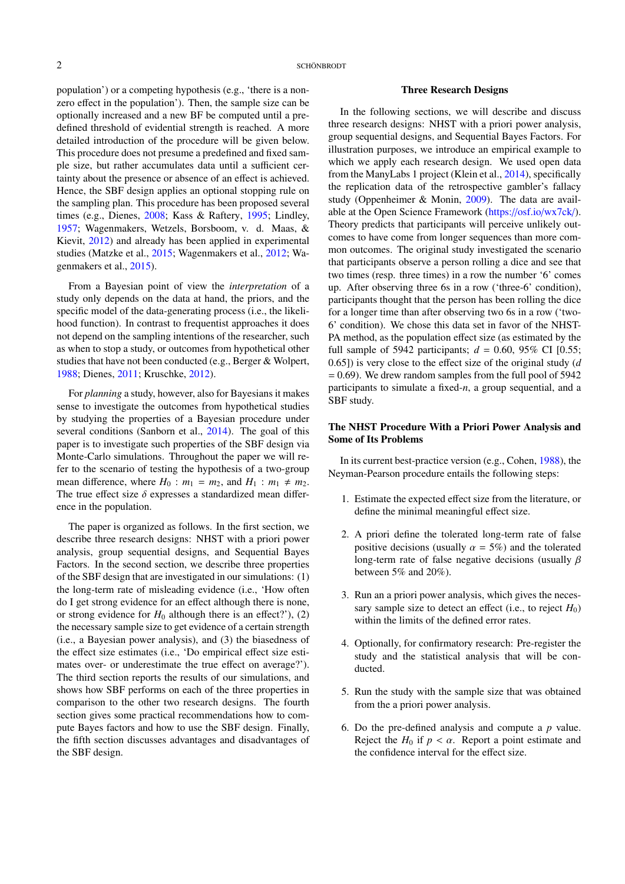population') or a competing hypothesis (e.g., 'there is a nonzero effect in the population'). Then, the sample size can be optionally increased and a new BF be computed until a predefined threshold of evidential strength is reached. A more detailed introduction of the procedure will be given below. This procedure does not presume a predefined and fixed sample size, but rather accumulates data until a sufficient certainty about the presence or absence of an effect is achieved. Hence, the SBF design applies an optional stopping rule on the sampling plan. This procedure has been proposed several times (e.g., Dienes, [2008;](#page-15-0) Kass & Raftery, [1995;](#page-16-1) Lindley, [1957;](#page-17-1) Wagenmakers, Wetzels, Borsboom, v. d. Maas, & Kievit, [2012\)](#page-18-0) and already has been applied in experimental studies (Matzke et al., [2015;](#page-17-2) Wagenmakers et al., [2012;](#page-18-0) Wagenmakers et al., [2015\)](#page-18-1).

From a Bayesian point of view the *interpretation* of a study only depends on the data at hand, the priors, and the specific model of the data-generating process (i.e., the likelihood function). In contrast to frequentist approaches it does not depend on the sampling intentions of the researcher, such as when to stop a study, or outcomes from hypothetical other studies that have not been conducted (e.g., Berger & Wolpert, [1988;](#page-15-2) Dienes, [2011;](#page-15-3) Kruschke, [2012\)](#page-16-0).

For *planning* a study, however, also for Bayesians it makes sense to investigate the outcomes from hypothetical studies by studying the properties of a Bayesian procedure under several conditions (Sanborn et al., [2014\)](#page-18-2). The goal of this paper is to investigate such properties of the SBF design via Monte-Carlo simulations. Throughout the paper we will refer to the scenario of testing the hypothesis of a two-group mean difference, where  $H_0$ :  $m_1 = m_2$ , and  $H_1$ :  $m_1 \neq m_2$ . The true effect size  $\delta$  expresses a standardized mean difference in the population.

The paper is organized as follows. In the first section, we describe three research designs: NHST with a priori power analysis, group sequential designs, and Sequential Bayes Factors. In the second section, we describe three properties of the SBF design that are investigated in our simulations: (1) the long-term rate of misleading evidence (i.e., 'How often do I get strong evidence for an effect although there is none, or strong evidence for  $H_0$  although there is an effect?'), (2) the necessary sample size to get evidence of a certain strength (i.e., a Bayesian power analysis), and (3) the biasedness of the effect size estimates (i.e., 'Do empirical effect size estimates over- or underestimate the true effect on average?'). The third section reports the results of our simulations, and shows how SBF performs on each of the three properties in comparison to the other two research designs. The fourth section gives some practical recommendations how to compute Bayes factors and how to use the SBF design. Finally, the fifth section discusses advantages and disadvantages of the SBF design.

#### Three Research Designs

In the following sections, we will describe and discuss three research designs: NHST with a priori power analysis, group sequential designs, and Sequential Bayes Factors. For illustration purposes, we introduce an empirical example to which we apply each research design. We used open data from the ManyLabs 1 project (Klein et al., [2014\)](#page-16-2), specifically the replication data of the retrospective gambler's fallacy study (Oppenheimer & Monin, [2009\)](#page-17-3). The data are available at the Open Science Framework (https://osf.io/[wx7ck](https://osf.io/wx7ck/)/). Theory predicts that participants will perceive unlikely outcomes to have come from longer sequences than more common outcomes. The original study investigated the scenario that participants observe a person rolling a dice and see that two times (resp. three times) in a row the number '6' comes up. After observing three 6s in a row ('three-6' condition), participants thought that the person has been rolling the dice for a longer time than after observing two 6s in a row ('two-6' condition). We chose this data set in favor of the NHST-PA method, as the population effect size (as estimated by the full sample of 5942 participants;  $d = 0.60, 95\%$  CI [0.55; 0.65]) is very close to the effect size of the original study (*d*  $= 0.69$ ). We drew random samples from the full pool of 5942 participants to simulate a fixed-*n*, a group sequential, and a SBF study.

# The NHST Procedure With a Priori Power Analysis and Some of Its Problems

In its current best-practice version (e.g., Cohen, [1988\)](#page-15-4), the Neyman-Pearson procedure entails the following steps:

- 1. Estimate the expected effect size from the literature, or define the minimal meaningful effect size.
- 2. A priori define the tolerated long-term rate of false positive decisions (usually  $\alpha = 5\%$ ) and the tolerated long-term rate of false negative decisions (usually  $\beta$ between 5% and 20%).
- 3. Run an a priori power analysis, which gives the necessary sample size to detect an effect (i.e., to reject  $H_0$ ) within the limits of the defined error rates.
- 4. Optionally, for confirmatory research: Pre-register the study and the statistical analysis that will be conducted.
- 5. Run the study with the sample size that was obtained from the a priori power analysis.
- 6. Do the pre-defined analysis and compute a *p* value. Reject the  $H_0$  if  $p < \alpha$ . Report a point estimate and the confidence interval for the effect size.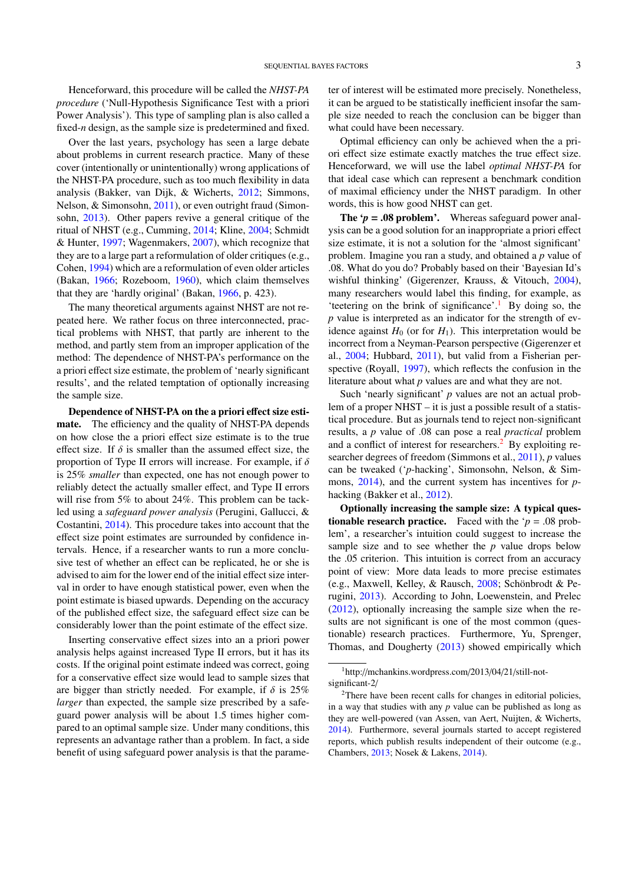Henceforward, this procedure will be called the *NHST-PA procedure* ('Null-Hypothesis Significance Test with a priori Power Analysis'). This type of sampling plan is also called a fixed-*n* design, as the sample size is predetermined and fixed.

Over the last years, psychology has seen a large debate about problems in current research practice. Many of these cover (intentionally or unintentionally) wrong applications of the NHST-PA procedure, such as too much flexibility in data analysis (Bakker, van Dijk, & Wicherts, [2012;](#page-15-5) Simmons, Nelson, & Simonsohn, [2011\)](#page-18-3), or even outright fraud (Simonsohn, [2013\)](#page-18-4). Other papers revive a general critique of the ritual of NHST (e.g., Cumming, [2014;](#page-15-1) Kline, [2004;](#page-16-3) Schmidt & Hunter, [1997;](#page-18-5) Wagenmakers, [2007\)](#page-18-6), which recognize that they are to a large part a reformulation of older critiques (e.g., Cohen, [1994\)](#page-15-6) which are a reformulation of even older articles (Bakan, [1966;](#page-15-7) Rozeboom, [1960\)](#page-17-4), which claim themselves that they are 'hardly original' (Bakan, [1966,](#page-15-7) p. 423).

The many theoretical arguments against NHST are not repeated here. We rather focus on three interconnected, practical problems with NHST, that partly are inherent to the method, and partly stem from an improper application of the method: The dependence of NHST-PA's performance on the a priori effect size estimate, the problem of 'nearly significant results', and the related temptation of optionally increasing the sample size.

Dependence of NHST-PA on the a priori effect size estimate. The efficiency and the quality of NHST-PA depends on how close the a priori effect size estimate is to the true effect size. If  $\delta$  is smaller than the assumed effect size, the proportion of Type II errors will increase. For example, if  $\delta$ is 25% *smaller* than expected, one has not enough power to reliably detect the actually smaller effect, and Type II errors will rise from 5% to about 24%. This problem can be tackled using a *safeguard power analysis* (Perugini, Gallucci, & Costantini, [2014\)](#page-17-5). This procedure takes into account that the effect size point estimates are surrounded by confidence intervals. Hence, if a researcher wants to run a more conclusive test of whether an effect can be replicated, he or she is advised to aim for the lower end of the initial effect size interval in order to have enough statistical power, even when the point estimate is biased upwards. Depending on the accuracy of the published effect size, the safeguard effect size can be considerably lower than the point estimate of the effect size.

Inserting conservative effect sizes into an a priori power analysis helps against increased Type II errors, but it has its costs. If the original point estimate indeed was correct, going for a conservative effect size would lead to sample sizes that are bigger than strictly needed. For example, if  $\delta$  is 25% *larger* than expected, the sample size prescribed by a safeguard power analysis will be about 1.5 times higher compared to an optimal sample size. Under many conditions, this represents an advantage rather than a problem. In fact, a side benefit of using safeguard power analysis is that the parameter of interest will be estimated more precisely. Nonetheless, it can be argued to be statistically inefficient insofar the sample size needed to reach the conclusion can be bigger than what could have been necessary.

Optimal efficiency can only be achieved when the a priori effect size estimate exactly matches the true effect size. Henceforward, we will use the label *optimal NHST-PA* for that ideal case which can represent a benchmark condition of maximal efficiency under the NHST paradigm. In other words, this is how good NHST can get.

**The '** $p = .08$  **problem'.** Whereas safeguard power analysis can be a good solution for an inappropriate a priori effect size estimate, it is not a solution for the 'almost significant' problem. Imagine you ran a study, and obtained a *p* value of .08. What do you do? Probably based on their 'Bayesian Id's wishful thinking' (Gigerenzer, Krauss, & Vitouch, [2004\)](#page-16-4), many researchers would label this finding, for example, as 'teetering on the brink of significance'.<sup>[1](#page-2-0)</sup> By doing so, the *p* value is interpreted as an indicator for the strength of evidence against  $H_0$  (or for  $H_1$ ). This interpretation would be incorrect from a Neyman-Pearson perspective (Gigerenzer et al., [2004;](#page-16-4) Hubbard, [2011\)](#page-16-5), but valid from a Fisherian perspective (Royall, [1997\)](#page-17-6), which reflects the confusion in the literature about what *p* values are and what they are not.

Such 'nearly significant' *p* values are not an actual problem of a proper NHST – it is just a possible result of a statistical procedure. But as journals tend to reject non-significant results, a *p* value of .08 can pose a real *practical* problem and a conflict of interest for researchers.<sup>[2](#page-2-1)</sup> By exploiting researcher degrees of freedom (Simmons et al., [2011\)](#page-18-3), *p* values can be tweaked ('*p*-hacking', Simonsohn, Nelson, & Simmons, [2014\)](#page-18-7), and the current system has incentives for *p*hacking (Bakker et al., [2012\)](#page-15-5).

Optionally increasing the sample size: A typical ques**tionable research practice.** Faced with the ' $p = .08$  problem', a researcher's intuition could suggest to increase the sample size and to see whether the *p* value drops below the .05 criterion. This intuition is correct from an accuracy point of view: More data leads to more precise estimates (e.g., Maxwell, Kelley, & Rausch, [2008;](#page-17-7) Schönbrodt & Perugini, [2013\)](#page-18-8). According to John, Loewenstein, and Prelec [\(2012\)](#page-16-6), optionally increasing the sample size when the results are not significant is one of the most common (questionable) research practices. Furthermore, Yu, Sprenger, Thomas, and Dougherty [\(2013\)](#page-18-9) showed empirically which

<span id="page-2-0"></span><sup>1</sup>http://mchankins.wordpress.com/2013/04/21/still-notsignificant-2/

<span id="page-2-1"></span><sup>&</sup>lt;sup>2</sup>There have been recent calls for changes in editorial policies, in a way that studies with any *p* value can be published as long as they are well-powered (van Assen, van Aert, Nuijten, & Wicherts, [2014\)](#page-18-10). Furthermore, several journals started to accept registered reports, which publish results independent of their outcome (e.g., Chambers, [2013;](#page-15-8) Nosek & Lakens, [2014\)](#page-17-8).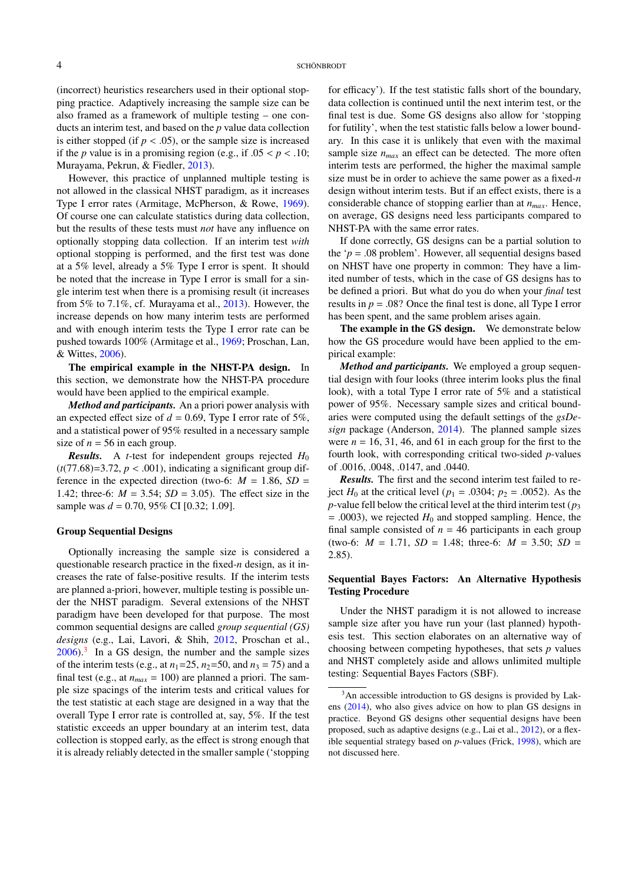(incorrect) heuristics researchers used in their optional stopping practice. Adaptively increasing the sample size can be also framed as a framework of multiple testing – one conducts an interim test, and based on the *p* value data collection is either stopped (if  $p < .05$ ), or the sample size is increased if the *p* value is in a promising region (e.g., if  $.05 < p < .10$ ; Murayama, Pekrun, & Fiedler, [2013\)](#page-17-9).

However, this practice of unplanned multiple testing is not allowed in the classical NHST paradigm, as it increases Type I error rates (Armitage, McPherson, & Rowe, [1969\)](#page-15-9). Of course one can calculate statistics during data collection, but the results of these tests must *not* have any influence on optionally stopping data collection. If an interim test *with* optional stopping is performed, and the first test was done at a 5% level, already a 5% Type I error is spent. It should be noted that the increase in Type I error is small for a single interim test when there is a promising result (it increases from 5% to 7.1%, cf. Murayama et al., [2013\)](#page-17-9). However, the increase depends on how many interim tests are performed and with enough interim tests the Type I error rate can be pushed towards 100% (Armitage et al., [1969;](#page-15-9) Proschan, Lan, & Wittes, [2006\)](#page-17-10).

The empirical example in the NHST-PA design. In this section, we demonstrate how the NHST-PA procedure would have been applied to the empirical example.

*Method and participants.* An a priori power analysis with an expected effect size of  $d = 0.69$ , Type I error rate of 5%, and a statistical power of 95% resulted in a necessary sample size of  $n = 56$  in each group.

**Results.** A *t*-test for independent groups rejected  $H_0$  $(t(77.68)=3.72, p < .001)$ , indicating a significant group difference in the expected direction (two-6:  $M = 1.86$ ,  $SD =$ 1.42; three-6:  $M = 3.54$ ;  $SD = 3.05$ ). The effect size in the sample was *d* = 0.70, 95% CI [0.32; 1.09].

## Group Sequential Designs

Optionally increasing the sample size is considered a questionable research practice in the fixed-*n* design, as it increases the rate of false-positive results. If the interim tests are planned a-priori, however, multiple testing is possible under the NHST paradigm. Several extensions of the NHST paradigm have been developed for that purpose. The most common sequential designs are called *group sequential (GS) designs* (e.g., Lai, Lavori, & Shih, [2012,](#page-16-7) Proschan et al.,  $2006$ ).<sup>[3](#page-3-0)</sup> In a GS design, the number and the sample sizes of the interim tests (e.g., at  $n_1$ =25,  $n_2$ =50, and  $n_3$  = 75) and a final test (e.g., at  $n_{max} = 100$ ) are planned a priori. The sample size spacings of the interim tests and critical values for the test statistic at each stage are designed in a way that the overall Type I error rate is controlled at, say, 5%. If the test statistic exceeds an upper boundary at an interim test, data collection is stopped early, as the effect is strong enough that it is already reliably detected in the smaller sample ('stopping

for efficacy'). If the test statistic falls short of the boundary, data collection is continued until the next interim test, or the final test is due. Some GS designs also allow for 'stopping for futility', when the test statistic falls below a lower boundary. In this case it is unlikely that even with the maximal sample size  $n_{max}$  an effect can be detected. The more often interim tests are performed, the higher the maximal sample size must be in order to achieve the same power as a fixed-*n* design without interim tests. But if an effect exists, there is a considerable chance of stopping earlier than at *nmax*. Hence, on average, GS designs need less participants compared to NHST-PA with the same error rates.

If done correctly, GS designs can be a partial solution to the ' $p = .08$  problem'. However, all sequential designs based on NHST have one property in common: They have a limited number of tests, which in the case of GS designs has to be defined a priori. But what do you do when your *final* test results in  $p = .08$ ? Once the final test is done, all Type I error has been spent, and the same problem arises again.

The example in the GS design. We demonstrate below how the GS procedure would have been applied to the empirical example:

*Method and participants.* We employed a group sequential design with four looks (three interim looks plus the final look), with a total Type I error rate of 5% and a statistical power of 95%. Necessary sample sizes and critical boundaries were computed using the default settings of the *gsDesign* package (Anderson, [2014\)](#page-15-10). The planned sample sizes were  $n = 16, 31, 46,$  and 61 in each group for the first to the fourth look, with corresponding critical two-sided *p*-values of .0016, .0048, .0147, and .0440.

*Results.* The first and the second interim test failed to reject *H*<sup>0</sup> at the critical level ( $p_1 = .0304$ ;  $p_2 = .0052$ ). As the *p*-value fell below the critical level at the third interim test ( $p_3$ )  $= .0003$ ), we rejected  $H_0$  and stopped sampling. Hence, the final sample consisted of  $n = 46$  participants in each group (two-6:  $M = 1.71$ ,  $SD = 1.48$ ; three-6:  $M = 3.50$ ;  $SD =$ 2.85).

# Sequential Bayes Factors: An Alternative Hypothesis Testing Procedure

Under the NHST paradigm it is not allowed to increase sample size after you have run your (last planned) hypothesis test. This section elaborates on an alternative way of choosing between competing hypotheses, that sets *p* values and NHST completely aside and allows unlimited multiple testing: Sequential Bayes Factors (SBF).

<span id="page-3-0"></span><sup>&</sup>lt;sup>3</sup>An accessible introduction to GS designs is provided by Lakens [\(2014\)](#page-16-8), who also gives advice on how to plan GS designs in practice. Beyond GS designs other sequential designs have been proposed, such as adaptive designs (e.g., Lai et al., [2012\)](#page-16-7), or a flexible sequential strategy based on *p*-values (Frick, [1998\)](#page-16-9), which are not discussed here.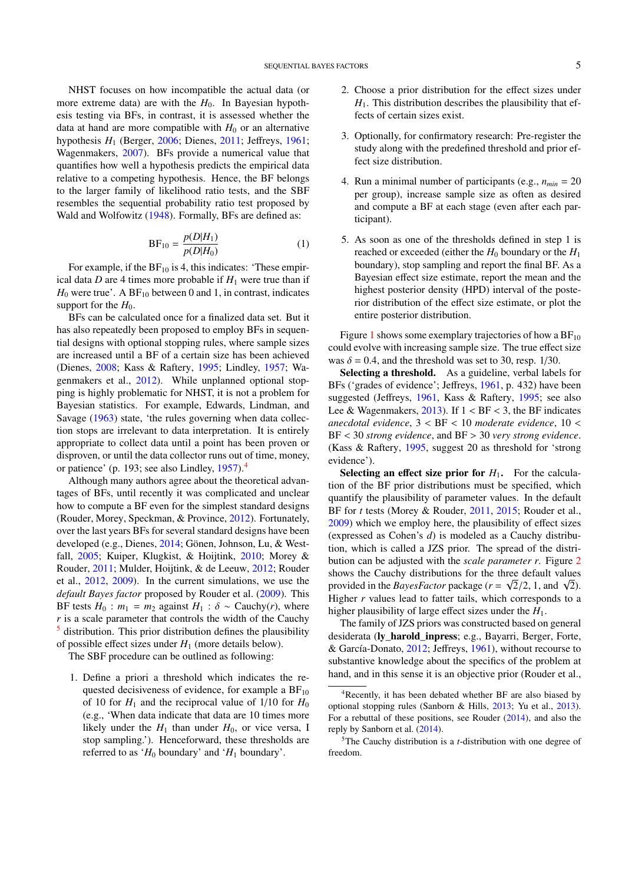NHST focuses on how incompatible the actual data (or more extreme data) are with the  $H_0$ . In Bayesian hypothesis testing via BFs, in contrast, it is assessed whether the data at hand are more compatible with  $H_0$  or an alternative hypothesis *H*<sup>1</sup> (Berger, [2006;](#page-15-11) Dienes, [2011;](#page-15-3) Jeffreys, [1961;](#page-16-10) Wagenmakers, [2007\)](#page-18-6). BFs provide a numerical value that quantifies how well a hypothesis predicts the empirical data relative to a competing hypothesis. Hence, the BF belongs to the larger family of likelihood ratio tests, and the SBF resembles the sequential probability ratio test proposed by Wald and Wolfowitz [\(1948\)](#page-18-11). Formally, BFs are defined as:

$$
BF_{10} = \frac{p(D|H_1)}{p(D|H_0)}\tag{1}
$$

For example, if the  $BF_{10}$  is 4, this indicates: 'These empirical data  $D$  are 4 times more probable if  $H_1$  were true than if  $H_0$  were true'. A BF<sub>10</sub> between 0 and 1, in contrast, indicates support for the  $H_0$ .

BFs can be calculated once for a finalized data set. But it has also repeatedly been proposed to employ BFs in sequential designs with optional stopping rules, where sample sizes are increased until a BF of a certain size has been achieved (Dienes, [2008;](#page-15-0) Kass & Raftery, [1995;](#page-16-1) Lindley, [1957;](#page-17-1) Wagenmakers et al., [2012\)](#page-18-0). While unplanned optional stopping is highly problematic for NHST, it is not a problem for Bayesian statistics. For example, Edwards, Lindman, and Savage [\(1963\)](#page-15-12) state, 'the rules governing when data collection stops are irrelevant to data interpretation. It is entirely appropriate to collect data until a point has been proven or disproven, or until the data collector runs out of time, money, or patience' (p. 193; see also Lindley, [1957\)](#page-17-1).[4](#page-4-0)

Although many authors agree about the theoretical advantages of BFs, until recently it was complicated and unclear how to compute a BF even for the simplest standard designs (Rouder, Morey, Speckman, & Province, [2012\)](#page-17-11). Fortunately, over the last years BFs for several standard designs have been developed (e.g., Dienes, [2014;](#page-15-13) Gönen, Johnson, Lu, & Westfall, [2005;](#page-16-11) Kuiper, Klugkist, & Hoijtink, [2010;](#page-16-12) Morey & Rouder, [2011;](#page-17-12) Mulder, Hoijtink, & de Leeuw, [2012;](#page-17-13) Rouder et al., [2012,](#page-17-11) [2009\)](#page-17-0). In the current simulations, we use the *default Bayes factor* proposed by Rouder et al. [\(2009\)](#page-17-0). This BF tests  $H_0$ :  $m_1 = m_2$  against  $H_1$ :  $\delta \sim$  Cauchy(*r*), where *r* is a scale parameter that controls the width of the Cauchy  $\frac{5}{5}$  $\frac{5}{5}$  $\frac{5}{5}$  distribution. This prior distribution defines the plausibility of possible effect sizes under  $H_1$  (more details below).

The SBF procedure can be outlined as following:

1. Define a priori a threshold which indicates the requested decisiveness of evidence, for example a  $BF_{10}$ of 10 for  $H_1$  and the reciprocal value of  $1/10$  for  $H_0$ (e.g., 'When data indicate that data are 10 times more likely under the  $H_1$  than under  $H_0$ , or vice versa, I stop sampling.'). Henceforward, these thresholds are referred to as ' $H_0$  boundary' and ' $H_1$  boundary'.

- 2. Choose a prior distribution for the effect sizes under  $H<sub>1</sub>$ . This distribution describes the plausibility that effects of certain sizes exist.
- 3. Optionally, for confirmatory research: Pre-register the study along with the predefined threshold and prior effect size distribution.
- 4. Run a minimal number of participants (e.g., *nmin* = 20 per group), increase sample size as often as desired and compute a BF at each stage (even after each participant).
- 5. As soon as one of the thresholds defined in step 1 is reached or exceeded (either the  $H_0$  boundary or the  $H_1$ boundary), stop sampling and report the final BF. As a Bayesian effect size estimate, report the mean and the highest posterior density (HPD) interval of the posterior distribution of the effect size estimate, or plot the entire posterior distribution.

Figure [1](#page-5-0) shows some exemplary trajectories of how a  $BF_{10}$ could evolve with increasing sample size. The true effect size was  $\delta = 0.4$ , and the threshold was set to 30, resp. 1/30.

Selecting a threshold. As a guideline, verbal labels for BFs ('grades of evidence'; Jeffreys, [1961,](#page-16-10) p. 432) have been suggested (Jeffreys, [1961,](#page-16-10) Kass & Raftery, [1995;](#page-16-1) see also Lee & Wagenmakers,  $2013$ ). If  $1 < BF < 3$ , the BF indicates *anecdotal evidence*, 3 < BF < 10 *moderate evidence*, 10 < BF < 30 *strong evidence*, and BF > 30 *very strong evidence*. (Kass & Raftery, [1995,](#page-16-1) suggest 20 as threshold for 'strong evidence').

**Selecting an effect size prior for**  $H_1$ **.** For the calculation of the BF prior distributions must be specified, which quantify the plausibility of parameter values. In the default BF for *t* tests (Morey & Rouder, [2011,](#page-17-12) [2015;](#page-17-15) Rouder et al., [2009\)](#page-17-0) which we employ here, the plausibility of effect sizes (expressed as Cohen's *d*) is modeled as a Cauchy distribution, which is called a JZS prior. The spread of the distribution can be adjusted with the *scale parameter r*. Figure [2](#page-5-1) shows the Cauchy distributions for the three default values shows the Cauchy distributions for the three default values<br>provided in the *BayesFactor* package ( $r = \sqrt{2}/2$ , 1, and  $\sqrt{2}$ ).<br>Higher *r* values lead to fatter tails, which corresponds to a Higher  $r$  values lead to fatter tails, which corresponds to a higher plausibility of large effect sizes under the *H*1.

The family of JZS priors was constructed based on general desiderata (ly\_harold\_inpress; e.g., Bayarri, Berger, Forte, & García-Donato, [2012;](#page-15-14) Jeffreys, [1961\)](#page-16-10), without recourse to substantive knowledge about the specifics of the problem at hand, and in this sense it is an objective prior (Rouder et al.,

<span id="page-4-0"></span><sup>4</sup>Recently, it has been debated whether BF are also biased by optional stopping rules (Sanborn & Hills, [2013;](#page-18-12) Yu et al., [2013\)](#page-18-9). For a rebuttal of these positions, see Rouder [\(2014\)](#page-17-16), and also the reply by Sanborn et al. [\(2014\)](#page-18-2).

<span id="page-4-1"></span><sup>5</sup>The Cauchy distribution is a *t*-distribution with one degree of freedom.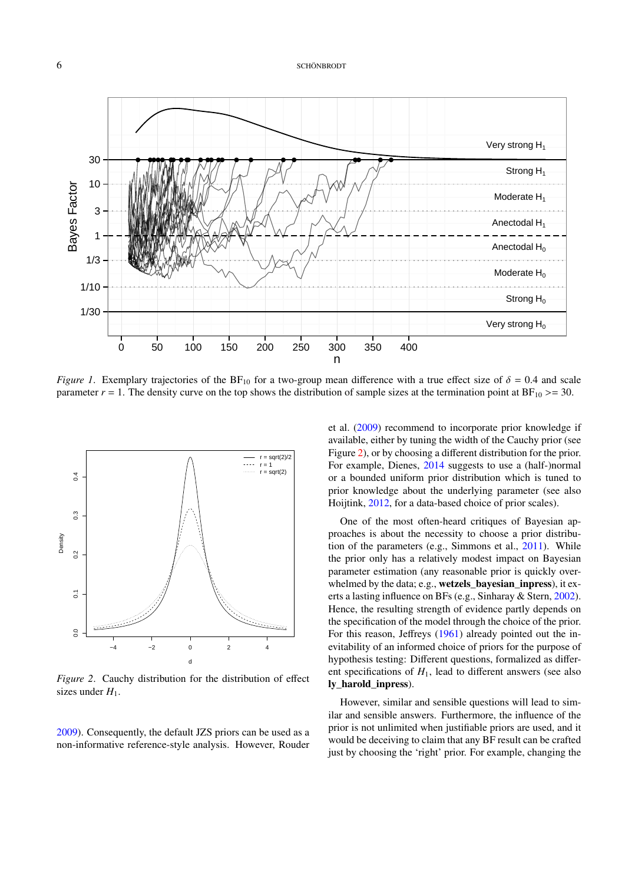## 6 SCHÖNBRODT

<span id="page-5-0"></span>

*Figure 1*. Exemplary trajectories of the  $BF_{10}$  for a two-group mean difference with a true effect size of  $\delta = 0.4$  and scale parameter  $r = 1$ . The density curve on the top shows the distribution of sample sizes at the termination point at  $BF_{10} \ge 30$ .

<span id="page-5-1"></span>

*Figure 2*. Cauchy distribution for the distribution of effect sizes under  $H_1$ .

[2009\)](#page-17-0). Consequently, the default JZS priors can be used as a non-informative reference-style analysis. However, Rouder

et al. [\(2009\)](#page-17-0) recommend to incorporate prior knowledge if available, either by tuning the width of the Cauchy prior (see Figure [2\)](#page-5-1), or by choosing a different distribution for the prior. For example, Dienes, [2014](#page-15-13) suggests to use a (half-)normal or a bounded uniform prior distribution which is tuned to prior knowledge about the underlying parameter (see also Hoijtink, [2012,](#page-16-13) for a data-based choice of prior scales).

One of the most often-heard critiques of Bayesian approaches is about the necessity to choose a prior distribution of the parameters (e.g., Simmons et al., [2011\)](#page-18-3). While the prior only has a relatively modest impact on Bayesian parameter estimation (any reasonable prior is quickly overwhelmed by the data; e.g., wetzels\_bayesian\_inpress), it exerts a lasting influence on BFs (e.g., Sinharay & Stern, [2002\)](#page-18-13). Hence, the resulting strength of evidence partly depends on the specification of the model through the choice of the prior. For this reason, Jeffreys [\(1961\)](#page-16-10) already pointed out the inevitability of an informed choice of priors for the purpose of hypothesis testing: Different questions, formalized as different specifications of  $H_1$ , lead to different answers (see also ly\_harold\_inpress).

However, similar and sensible questions will lead to similar and sensible answers. Furthermore, the influence of the prior is not unlimited when justifiable priors are used, and it would be deceiving to claim that any BF result can be crafted just by choosing the 'right' prior. For example, changing the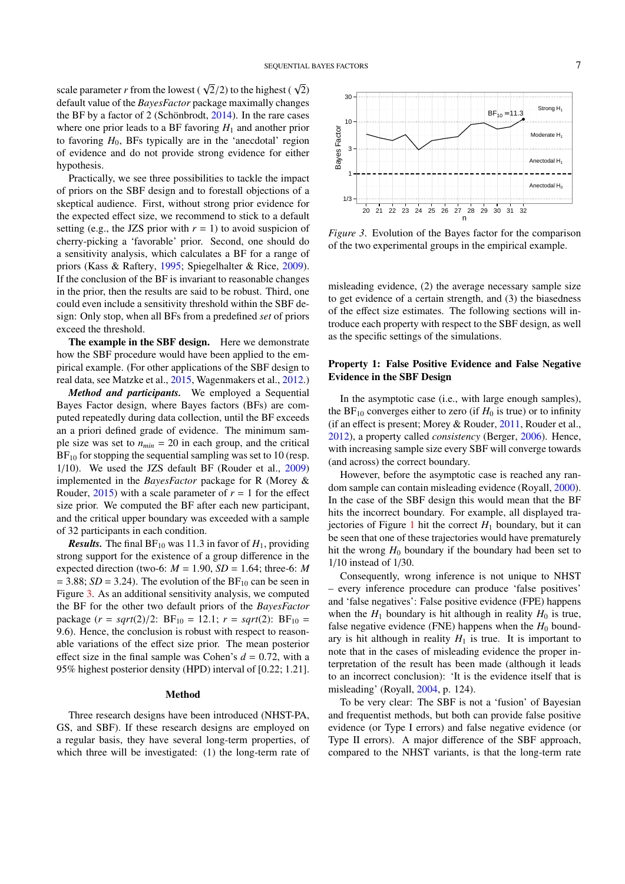<span id="page-6-0"></span>30

scale parameter *r* from the lowest ( $\sqrt{2}/2$ ) to the highest ( $\sqrt{2}$ ) default value of the *Rayes Eactor* package maximally changes default value of the *BayesFactor* package maximally changes the BF by a factor of 2 (Schönbrodt, [2014\)](#page-18-14). In the rare cases where one prior leads to a BF favoring  $H_1$  and another prior to favoring  $H_0$ , BFs typically are in the 'anecdotal' region of evidence and do not provide strong evidence for either hypothesis.

Practically, we see three possibilities to tackle the impact of priors on the SBF design and to forestall objections of a skeptical audience. First, without strong prior evidence for the expected effect size, we recommend to stick to a default setting (e.g., the JZS prior with  $r = 1$ ) to avoid suspicion of cherry-picking a 'favorable' prior. Second, one should do a sensitivity analysis, which calculates a BF for a range of priors (Kass & Raftery, [1995;](#page-16-1) Spiegelhalter & Rice, [2009\)](#page-18-15). If the conclusion of the BF is invariant to reasonable changes in the prior, then the results are said to be robust. Third, one could even include a sensitivity threshold within the SBF design: Only stop, when all BFs from a predefined *set* of priors exceed the threshold.

The example in the SBF design. Here we demonstrate how the SBF procedure would have been applied to the empirical example. (For other applications of the SBF design to real data, see Matzke et al., [2015,](#page-17-2) Wagenmakers et al., [2012.](#page-18-0))

*Method and participants.* We employed a Sequential Bayes Factor design, where Bayes factors (BFs) are computed repeatedly during data collection, until the BF exceeds an a priori defined grade of evidence. The minimum sample size was set to  $n_{min} = 20$  in each group, and the critical  $BF_{10}$  for stopping the sequential sampling was set to 10 (resp. 1/10). We used the JZS default BF (Rouder et al., [2009\)](#page-17-0) implemented in the *BayesFactor* package for R (Morey & Rouder,  $2015$ ) with a scale parameter of  $r = 1$  for the effect size prior. We computed the BF after each new participant, and the critical upper boundary was exceeded with a sample of 32 participants in each condition.

*Results.* The final  $BF_{10}$  was 11.3 in favor of  $H_1$ , providing strong support for the existence of a group difference in the expected direction (two-6:  $M = 1.90$ ,  $SD = 1.64$ ; three-6: M  $= 3.88$ ; *SD* = 3.24). The evolution of the BF<sub>10</sub> can be seen in Figure [3.](#page-6-0) As an additional sensitivity analysis, we computed the BF for the other two default priors of the *BayesFactor* package  $(r = sqrt(2)/2$ :  $BF_{10} = 12.1$ ;  $r = sqrt(2)$ :  $BF_{10} =$ 9.6). Hence, the conclusion is robust with respect to reasonable variations of the effect size prior. The mean posterior effect size in the final sample was Cohen's  $d = 0.72$ , with a 95% highest posterior density (HPD) interval of [0.22; 1.21].

## Method

Three research designs have been introduced (NHST-PA, GS, and SBF). If these research designs are employed on a regular basis, they have several long-term properties, of which three will be investigated: (1) the long-term rate of



*Figure 3*. Evolution of the Bayes factor for the comparison of the two experimental groups in the empirical example.

misleading evidence, (2) the average necessary sample size to get evidence of a certain strength, and (3) the biasedness of the effect size estimates. The following sections will introduce each property with respect to the SBF design, as well as the specific settings of the simulations.

## Property 1: False Positive Evidence and False Negative Evidence in the SBF Design

In the asymptotic case (i.e., with large enough samples), the BF<sub>10</sub> converges either to zero (if  $H_0$  is true) or to infinity (if an effect is present; Morey & Rouder, [2011,](#page-17-12) Rouder et al., [2012\)](#page-17-11), a property called *consistency* (Berger, [2006\)](#page-15-11). Hence, with increasing sample size every SBF will converge towards (and across) the correct boundary.

However, before the asymptotic case is reached any random sample can contain misleading evidence (Royall, [2000\)](#page-17-17). In the case of the SBF design this would mean that the BF hits the incorrect boundary. For example, all displayed tra-jectories of Figure [1](#page-5-0) hit the correct  $H_1$  boundary, but it can be seen that one of these trajectories would have prematurely hit the wrong  $H_0$  boundary if the boundary had been set to 1/10 instead of 1/30.

Consequently, wrong inference is not unique to NHST – every inference procedure can produce 'false positives' and 'false negatives': False positive evidence (FPE) happens when the  $H_1$  boundary is hit although in reality  $H_0$  is true, false negative evidence (FNE) happens when the  $H_0$  boundary is hit although in reality  $H_1$  is true. It is important to note that in the cases of misleading evidence the proper interpretation of the result has been made (although it leads to an incorrect conclusion): 'It is the evidence itself that is misleading' (Royall, [2004,](#page-17-18) p. 124).

To be very clear: The SBF is not a 'fusion' of Bayesian and frequentist methods, but both can provide false positive evidence (or Type I errors) and false negative evidence (or Type II errors). A major difference of the SBF approach, compared to the NHST variants, is that the long-term rate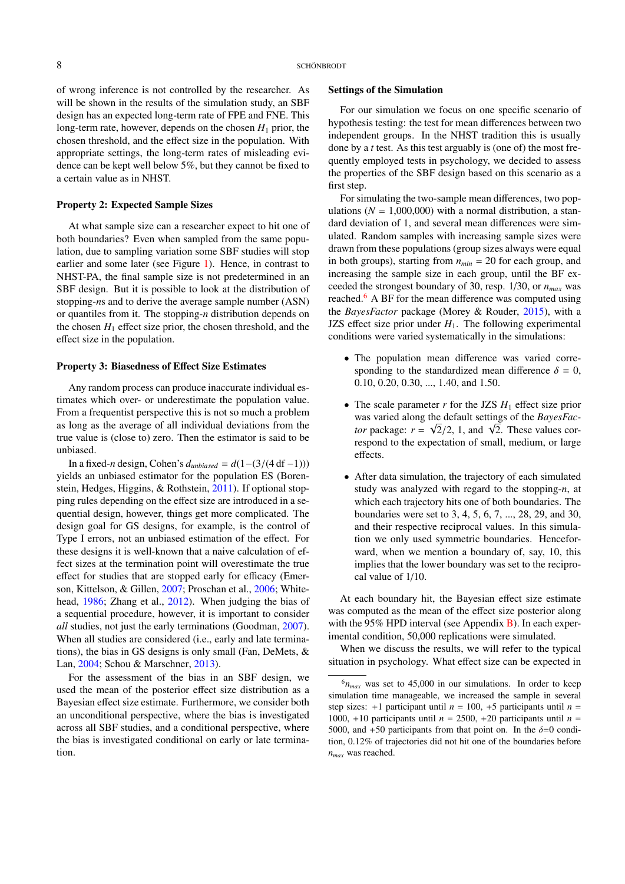of wrong inference is not controlled by the researcher. As will be shown in the results of the simulation study, an SBF design has an expected long-term rate of FPE and FNE. This long-term rate, however, depends on the chosen  $H_1$  prior, the chosen threshold, and the effect size in the population. With appropriate settings, the long-term rates of misleading evidence can be kept well below 5%, but they cannot be fixed to a certain value as in NHST.

#### Property 2: Expected Sample Sizes

At what sample size can a researcher expect to hit one of both boundaries? Even when sampled from the same population, due to sampling variation some SBF studies will stop earlier and some later (see Figure [1\)](#page-5-0). Hence, in contrast to NHST-PA, the final sample size is not predetermined in an SBF design. But it is possible to look at the distribution of stopping-*n*s and to derive the average sample number (ASN) or quantiles from it. The stopping-*n* distribution depends on the chosen  $H_1$  effect size prior, the chosen threshold, and the effect size in the population.

## Property 3: Biasedness of Effect Size Estimates

Any random process can produce inaccurate individual estimates which over- or underestimate the population value. From a frequentist perspective this is not so much a problem as long as the average of all individual deviations from the true value is (close to) zero. Then the estimator is said to be unbiased.

In a fixed-*<sup>n</sup>* design, Cohen's *<sup>d</sup>unbiased* <sup>=</sup> *<sup>d</sup>*(1−(3/(4 df <sup>−</sup>1))) yields an unbiased estimator for the population ES (Borenstein, Hedges, Higgins, & Rothstein, [2011\)](#page-15-15). If optional stopping rules depending on the effect size are introduced in a sequential design, however, things get more complicated. The design goal for GS designs, for example, is the control of Type I errors, not an unbiased estimation of the effect. For these designs it is well-known that a naive calculation of effect sizes at the termination point will overestimate the true effect for studies that are stopped early for efficacy (Emerson, Kittelson, & Gillen, [2007;](#page-16-14) Proschan et al., [2006;](#page-17-10) Whitehead, [1986;](#page-18-16) Zhang et al., [2012\)](#page-18-17). When judging the bias of a sequential procedure, however, it is important to consider *all* studies, not just the early terminations (Goodman, [2007\)](#page-16-15). When all studies are considered *(i.e., early and late termina*tions), the bias in GS designs is only small (Fan, DeMets, & Lan, [2004;](#page-16-16) Schou & Marschner, [2013\)](#page-18-18).

For the assessment of the bias in an SBF design, we used the mean of the posterior effect size distribution as a Bayesian effect size estimate. Furthermore, we consider both an unconditional perspective, where the bias is investigated across all SBF studies, and a conditional perspective, where the bias is investigated conditional on early or late termination.

## Settings of the Simulation

For our simulation we focus on one specific scenario of hypothesis testing: the test for mean differences between two independent groups. In the NHST tradition this is usually done by a *t* test. As this test arguably is (one of) the most frequently employed tests in psychology, we decided to assess the properties of the SBF design based on this scenario as a first step.

For simulating the two-sample mean differences, two populations ( $N = 1,000,000$ ) with a normal distribution, a standard deviation of 1, and several mean differences were simulated. Random samples with increasing sample sizes were drawn from these populations (group sizes always were equal in both groups), starting from  $n_{min} = 20$  for each group, and increasing the sample size in each group, until the BF exceeded the strongest boundary of 30, resp. 1/30, or *nmax* was reached.<sup>[6](#page-7-0)</sup> A BF for the mean difference was computed using the *BayesFactor* package (Morey & Rouder, [2015\)](#page-17-15), with a JZS effect size prior under  $H_1$ . The following experimental conditions were varied systematically in the simulations:

- The population mean difference was varied corresponding to the standardized mean difference  $\delta = 0$ , 0.10, 0.20, 0.30, ..., 1.40, and 1.50.
- The scale parameter  $r$  for the JZS  $H_1$  effect size prior was varied along the default settings of the *BayesFac-*√ was varied along the default settings of the *BayesFactor* package:  $r = \sqrt{2}/2$ , 1, and  $\sqrt{2}$ . These values correspond to the expectation of small medium or large respond to the expectation of small, medium, or large effects.
- After data simulation, the trajectory of each simulated study was analyzed with regard to the stopping-*n*, at which each trajectory hits one of both boundaries. The boundaries were set to 3, 4, 5, 6, 7, ..., 28, 29, and 30, and their respective reciprocal values. In this simulation we only used symmetric boundaries. Henceforward, when we mention a boundary of, say, 10, this implies that the lower boundary was set to the reciprocal value of 1/10.

At each boundary hit, the Bayesian effect size estimate was computed as the mean of the effect size posterior along with the 95% HPD interval (see Appendix  $\overline{B}$ ). In each experimental condition, 50,000 replications were simulated.

When we discuss the results, we will refer to the typical situation in psychology. What effect size can be expected in

<span id="page-7-0"></span> $6n_{max}$  was set to 45,000 in our simulations. In order to keep simulation time manageable, we increased the sample in several step sizes:  $+1$  participant until  $n = 100, +5$  participants until  $n =$ 1000, +10 participants until  $n = 2500$ , +20 participants until  $n =$ 5000, and +50 participants from that point on. In the  $\delta$ =0 condition, 0.12% of trajectories did not hit one of the boundaries before *nmax* was reached.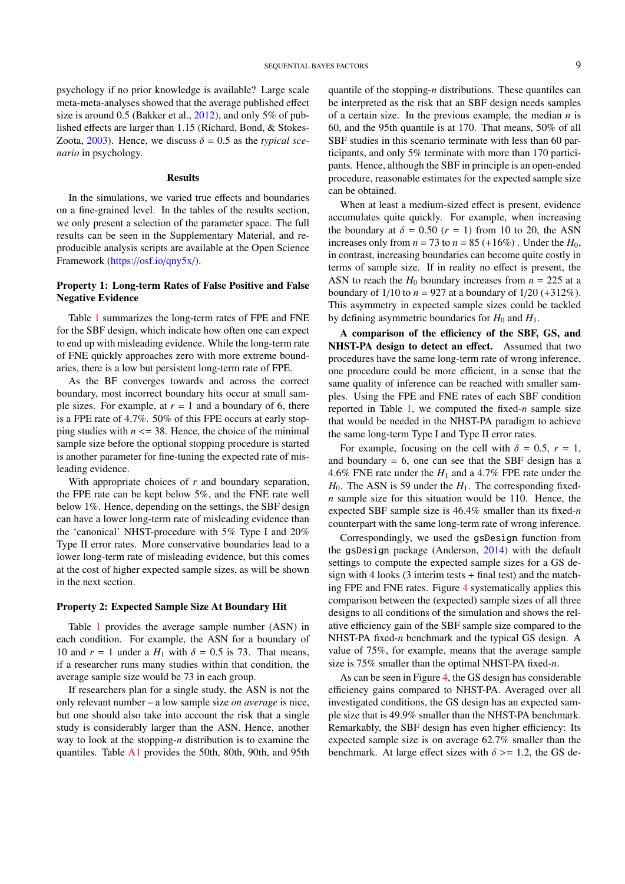psychology if no prior knowledge is available? Large scale meta-meta-analyses showed that the average published effect size is around 0.5 (Bakker et al., [2012\)](#page-15-5), and only 5% of published effects are larger than 1.15 (Richard, Bond, & Stokes-Zoota, [2003\)](#page-17-19). Hence, we discuss  $\delta = 0.5$  as the *typical scenario* in psychology.

## Results

In the simulations, we varied true effects and boundaries on a fine-grained level. In the tables of the results section, we only present a selection of the parameter space. The full results can be seen in the Supplementary Material, and reproducible analysis scripts are available at the Open Science Framework (https://osf.io/[qny5x](https://osf.io/qny5x/)/).

# Property 1: Long-term Rates of False Positive and False Negative Evidence

Table [1](#page-9-0) summarizes the long-term rates of FPE and FNE for the SBF design, which indicate how often one can expect to end up with misleading evidence. While the long-term rate of FNE quickly approaches zero with more extreme boundaries, there is a low but persistent long-term rate of FPE.

As the BF converges towards and across the correct boundary, most incorrect boundary hits occur at small sample sizes. For example, at  $r = 1$  and a boundary of 6, there is a FPE rate of 4.7%. 50% of this FPE occurs at early stopping studies with  $n \leq 38$ . Hence, the choice of the minimal sample size before the optional stopping procedure is started is another parameter for fine-tuning the expected rate of misleading evidence.

With appropriate choices of *r* and boundary separation, the FPE rate can be kept below 5%, and the FNE rate well below 1%. Hence, depending on the settings, the SBF design can have a lower long-term rate of misleading evidence than the 'canonical' NHST-procedure with 5% Type I and 20% Type II error rates. More conservative boundaries lead to a lower long-term rate of misleading evidence, but this comes at the cost of higher expected sample sizes, as will be shown in the next section.

## Property 2: Expected Sample Size At Boundary Hit

Table [1](#page-9-0) provides the average sample number (ASN) in each condition. For example, the ASN for a boundary of 10 and  $r = 1$  under a  $H_1$  with  $\delta = 0.5$  is 73. That means, if a researcher runs many studies within that condition, the average sample size would be 73 in each group.

If researchers plan for a single study, the ASN is not the only relevant number – a low sample size *on average* is nice, but one should also take into account the risk that a single study is considerably larger than the ASN. Hence, another way to look at the stopping-*n* distribution is to examine the quantiles. Table [A1](#page-19-0) provides the 50th, 80th, 90th, and 95th

quantile of the stopping-*n* distributions. These quantiles can be interpreted as the risk that an SBF design needs samples of a certain size. In the previous example, the median *n* is 60, and the 95th quantile is at 170. That means, 50% of all SBF studies in this scenario terminate with less than 60 participants, and only 5% terminate with more than 170 participants. Hence, although the SBF in principle is an open-ended procedure, reasonable estimates for the expected sample size can be obtained.

When at least a medium-sized effect is present, evidence accumulates quite quickly. For example, when increasing the boundary at  $\delta = 0.50$  ( $r = 1$ ) from 10 to 20, the ASN increases only from  $n = 73$  to  $n = 85 (+16%)$ . Under the  $H_0$ , in contrast, increasing boundaries can become quite costly in terms of sample size. If in reality no effect is present, the ASN to reach the  $H_0$  boundary increases from  $n = 225$  at a boundary of  $1/10$  to  $n = 927$  at a boundary of  $1/20$  (+312%). This asymmetry in expected sample sizes could be tackled by defining asymmetric boundaries for  $H_0$  and  $H_1$ .

A comparison of the efficiency of the SBF, GS, and NHST-PA design to detect an effect. Assumed that two procedures have the same long-term rate of wrong inference, one procedure could be more efficient, in a sense that the same quality of inference can be reached with smaller samples. Using the FPE and FNE rates of each SBF condition reported in Table [1,](#page-9-0) we computed the fixed-*n* sample size that would be needed in the NHST-PA paradigm to achieve the same long-term Type I and Type II error rates.

For example, focusing on the cell with  $\delta = 0.5$ ,  $r = 1$ , and boundary  $= 6$ , one can see that the SBF design has a 4.6% FNE rate under the  $H_1$  and a 4.7% FPE rate under the  $H_0$ . The ASN is 59 under the  $H_1$ . The corresponding fixed*n* sample size for this situation would be 110. Hence, the expected SBF sample size is 46.4% smaller than its fixed-*n* counterpart with the same long-term rate of wrong inference.

Correspondingly, we used the gsDesign function from the gsDesign package (Anderson, [2014\)](#page-15-10) with the default settings to compute the expected sample sizes for a GS design with 4 looks (3 interim tests + final test) and the matching FPE and FNE rates. Figure [4](#page-10-0) systematically applies this comparison between the (expected) sample sizes of all three designs to all conditions of the simulation and shows the relative efficiency gain of the SBF sample size compared to the NHST-PA fixed-*n* benchmark and the typical GS design. A value of 75%, for example, means that the average sample size is 75% smaller than the optimal NHST-PA fixed-*n*.

As can be seen in Figure [4,](#page-10-0) the GS design has considerable efficiency gains compared to NHST-PA. Averaged over all investigated conditions, the GS design has an expected sample size that is 49.9% smaller than the NHST-PA benchmark. Remarkably, the SBF design has even higher efficiency: Its expected sample size is on average 62.7% smaller than the benchmark. At large effect sizes with  $\delta$  >= 1.2, the GS de-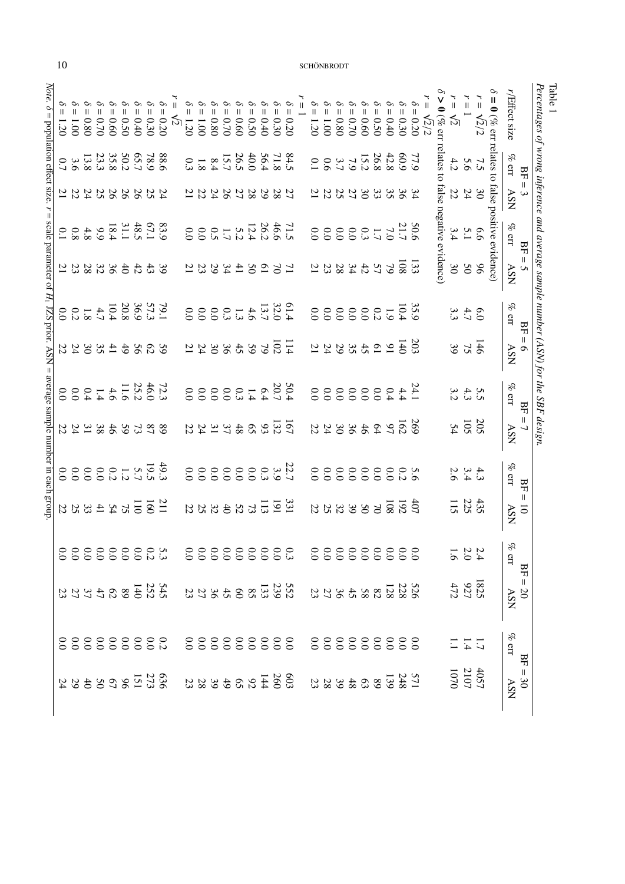<span id="page-9-0"></span>

| Note.<br>$\ddot{\circ}$<br>$\, \parallel$ |     | $= 1.20$ |                                                                                                                           |  | $\begin{array}{l} \delta = 0.30 \\ \delta = 0.44 \\ \delta = 0.60 \\ \delta = 0.78 \\ \delta = 0.80 \\ \delta = 0.80 \\ \end{array}$ |                                                     | $i = 0.20$ | $\overline{1}$<br>$\overline{\mathcal{L}}$ | $\mathcal{O}$<br>$= 1.20$ | $1.0001 = 1$   | $= 0.80$ |  |          | $\begin{array}{l} \delta = 0.20 \\ \delta = 0.39 \\ \delta = 0.60 \\ \delta = 0.60 \\ \delta = 0.70 \\ \delta = 0.70 \\ \end{array}$                 | ۳. | $-1.20$        | $-1.00$ | $= 0.80$ | $-0.70$ | $\begin{aligned} 5 &= 0.40 \\ 5 &= 0.50 \\ 6 &= 0.60 \end{aligned}$ |                                                                                                                                                                                                                                                                                                               | $\delta = 0.30$ | $\frac{\sqrt{2}}{2}$<br>= 0.20 | r<br>= |                                                         | $\frac{1}{1}$<br>$\overline{5}$ | $\overline{u}$              | $\frac{1}{\pi}$<br>$\sqrt{2}/2$ |                                                         | r/Effect size                                 |                                                   | Percentages of wrong inference and average sample number (ASN) for the SBF design.<br>Table 1 |
|-------------------------------------------|-----|----------|---------------------------------------------------------------------------------------------------------------------------|--|--------------------------------------------------------------------------------------------------------------------------------------|-----------------------------------------------------|------------|--------------------------------------------|---------------------------|----------------|----------|--|----------|------------------------------------------------------------------------------------------------------------------------------------------------------|----|----------------|---------|----------|---------|---------------------------------------------------------------------|---------------------------------------------------------------------------------------------------------------------------------------------------------------------------------------------------------------------------------------------------------------------------------------------------------------|-----------------|--------------------------------|--------|---------------------------------------------------------|---------------------------------|-----------------------------|---------------------------------|---------------------------------------------------------|-----------------------------------------------|---------------------------------------------------|-----------------------------------------------------------------------------------------------|
| population effect size.                   |     | 3.6      |                                                                                                                           |  | $\frac{50.2}{35.33.3}$                                                                                                               | $\begin{array}{c} 88.6 \\ 78.9 \\ 65.7 \end{array}$ |            |                                            | 0.3                       | $\overline{8}$ |          |  |          | 84.8<br>71.8<br>40.9<br>8.7<br>8.7<br>8.7<br>8.7                                                                                                     |    | $\overline{0}$ | 3.700   |          |         |                                                                     | $\begin{array}{c}\n77.0 \\ 70.9 \\ 70.9 \\ 70.9\n\end{array}$                                                                                                                                                                                                                                                 |                 |                                |        | $\delta > 0$ (% err relates to false negative evidence) |                                 | 7.5                         |                                 | $\delta = 0$ (% err relates to false positive evidence) | $\%$ err                                      | $BF =$                                            |                                                                                               |
|                                           |     |          | 222222222                                                                                                                 |  |                                                                                                                                      |                                                     |            |                                            |                           |                |          |  |          | 2828282212                                                                                                                                           |    |                |         |          |         |                                                                     | 3333334524                                                                                                                                                                                                                                                                                                    |                 |                                |        |                                                         |                                 | 3040                        |                                 |                                                         | <b>ASN</b>                                    |                                                   |                                                                                               |
| $\, \parallel$                            |     |          |                                                                                                                           |  |                                                                                                                                      |                                                     |            |                                            |                           |                |          |  |          |                                                                                                                                                      |    |                |         |          |         |                                                                     | $\begin{array}{c} 50.8 \\ 71.7 \\ 11.9 \\ 13.9 \\ 14.9 \\ 15.9 \\ 16.9 \\ 17.9 \\ 18.9 \\ 19.0 \\ 19.0 \\ 10.0 \\ 10.0 \\ 10.0 \\ 10.0 \\ 10.0 \\ 10.0 \\ 10.0 \\ 10.0 \\ 10.0 \\ 10.0 \\ 10.0 \\ 10.0 \\ 10.0 \\ 10.0 \\ 10.0 \\ 10.0 \\ 10.0 \\ 10.0 \\ 10.0 \\ 10.0 \\ 10.0 \\ 10.0 \\ 10.0 \\ 10.0 \\ 10$ |                 |                                |        |                                                         | $6.6 \div 3.4$                  |                             |                                 |                                                         | $\%$ err                                      |                                                   |                                                                                               |
|                                           |     |          | 344482822                                                                                                                 |  |                                                                                                                                      |                                                     |            |                                            |                           |                |          |  |          | 7万日543232                                                                                                                                            |    |                |         |          |         |                                                                     | $\frac{108}{85}$ 5 5 4 4 8 8 9 7 1                                                                                                                                                                                                                                                                            |                 | 33                             |        |                                                         | $\mathfrak{g}0$                 | 50                          | 96                              |                                                         | ASN                                           | $BF =$                                            |                                                                                               |
|                                           |     |          | $\begin{array}{c} 797.700 \\ 71.700 \\ -1.700 \\ -1.700 \\ \end{array}$                                                   |  |                                                                                                                                      |                                                     |            |                                            |                           |                |          |  |          |                                                                                                                                                      |    |                |         |          |         |                                                                     | $\frac{32}{30}$ $\frac{1}{3}$ $\frac{1}{3}$ $\frac{3}{3}$ $\frac{3}{3}$ $\frac{1}{3}$ $\frac{3}{3}$ $\frac{3}{3}$ $\frac{3}{3}$ $\frac{3}{3}$ $\frac{3}{3}$ $\frac{3}{3}$ $\frac{3}{3}$ $\frac{3}{3}$ $\frac{3}{3}$                                                                                           |                 |                                |        |                                                         | $63 + 33$<br>3 4 3 3            |                             |                                 |                                                         | $\%$ err                                      | ВF                                                |                                                                                               |
| scale parameter of $H_1$ JZS prior. ASN = |     |          | 328847                                                                                                                    |  |                                                                                                                                      | 88                                                  | 59         |                                            |                           |                |          |  | 522832   | $\frac{11}{10}$                                                                                                                                      |    |                |         |          |         |                                                                     | 2324888242                                                                                                                                                                                                                                                                                                    |                 |                                |        |                                                         | 39                              | $\frac{4}{75}$              |                                 |                                                         | <b>ASN</b>                                    | $\begin{array}{c} \hline \end{array}$<br>$\sigma$ |                                                                                               |
|                                           | 0.0 |          |                                                                                                                           |  |                                                                                                                                      |                                                     |            |                                            |                           |                |          |  |          |                                                                                                                                                      |    |                |         |          |         |                                                                     |                                                                                                                                                                                                                                                                                                               |                 |                                |        |                                                         |                                 | $234$<br>$23$               |                                 |                                                         | $\%$ err                                      |                                                   |                                                                                               |
|                                           |     |          | 2222222                                                                                                                   |  |                                                                                                                                      | 280                                                 |            |                                            |                           |                |          |  | 26822322 | $\frac{167}{132}$                                                                                                                                    |    |                |         |          |         |                                                                     | <b>6224882423</b>                                                                                                                                                                                                                                                                                             |                 | 269                            |        |                                                         |                                 | $205 \frac{2}{3}$           |                                 |                                                         | <b>ASN</b>                                    | $BF =$                                            |                                                                                               |
| average sample number in each group       |     |          |                                                                                                                           |  |                                                                                                                                      |                                                     |            |                                            |                           |                |          |  |          | $\frac{57}{19}$<br>$\frac{39}{19}$<br>$\frac{39}{19}$<br>$\frac{39}{19}$<br>$\frac{39}{19}$<br>$\frac{39}{19}$<br>$\frac{39}{19}$<br>$\frac{39}{19}$ |    |                |         |          |         |                                                                     |                                                                                                                                                                                                                                                                                                               |                 |                                |        |                                                         |                                 | $4.3.4$<br>3.4.6            |                                 |                                                         | $\%$ err                                      | BF                                                |                                                                                               |
|                                           |     |          | $\frac{21}{100}$ $\frac{1}{60}$ $\frac{1}{60}$ $\frac{1}{60}$ $\frac{1}{60}$ $\frac{1}{60}$ $\frac{1}{60}$ $\frac{1}{60}$ |  |                                                                                                                                      |                                                     |            |                                            |                           |                |          |  |          |                                                                                                                                                      |    |                |         |          |         |                                                                     | 228888888888                                                                                                                                                                                                                                                                                                  |                 |                                |        |                                                         | $\frac{435}{115}$               |                             |                                 |                                                         | <b>ASN</b>                                    | $\mathsf{II}$<br>$\overline{0}$                   |                                                                                               |
|                                           |     |          |                                                                                                                           |  |                                                                                                                                      |                                                     |            |                                            |                           |                |          |  |          |                                                                                                                                                      |    |                |         |          |         |                                                                     | 0000000000                                                                                                                                                                                                                                                                                                    |                 |                                |        |                                                         |                                 | $\frac{234}{1.6}$           |                                 |                                                         | $\mathcal{S}_{\!\!\mathcal{C}}$<br><b>CTT</b> | BF                                                |                                                                                               |
|                                           |     |          | 237300047723                                                                                                              |  |                                                                                                                                      |                                                     |            |                                            |                           |                |          |  |          | 23.53888848723                                                                                                                                       |    |                |         |          |         |                                                                     | 232708888849223                                                                                                                                                                                                                                                                                               |                 |                                |        |                                                         | $\frac{1825}{927}$              |                             |                                 |                                                         | <b>ASN</b>                                    | $\boldsymbol{\mathsf{II}}$<br>$\infty$            |                                                                                               |
|                                           |     |          | 0000000000<br><i>1</i><br>000000000                                                                                       |  |                                                                                                                                      |                                                     |            |                                            |                           |                |          |  |          | 00000000000<br>0000000000                                                                                                                            |    |                |         |          |         |                                                                     | 00000000000<br>0000000000                                                                                                                                                                                                                                                                                     |                 |                                |        |                                                         |                                 | $\frac{1}{4}$ $\frac{1}{4}$ |                                 |                                                         | $\%$ err                                      |                                                   |                                                                                               |
|                                           |     |          | 8255866484                                                                                                                |  |                                                                                                                                      |                                                     |            |                                            |                           |                |          |  |          | 2842838333                                                                                                                                           |    |                |         |          |         |                                                                     | 224888648883                                                                                                                                                                                                                                                                                                  |                 |                                |        |                                                         | 4057<br>2107<br>107C            |                             |                                 |                                                         | <b>ASN</b>                                    | ВF<br>$\mathbf{I}$<br>$\mathfrak{S}^0$            |                                                                                               |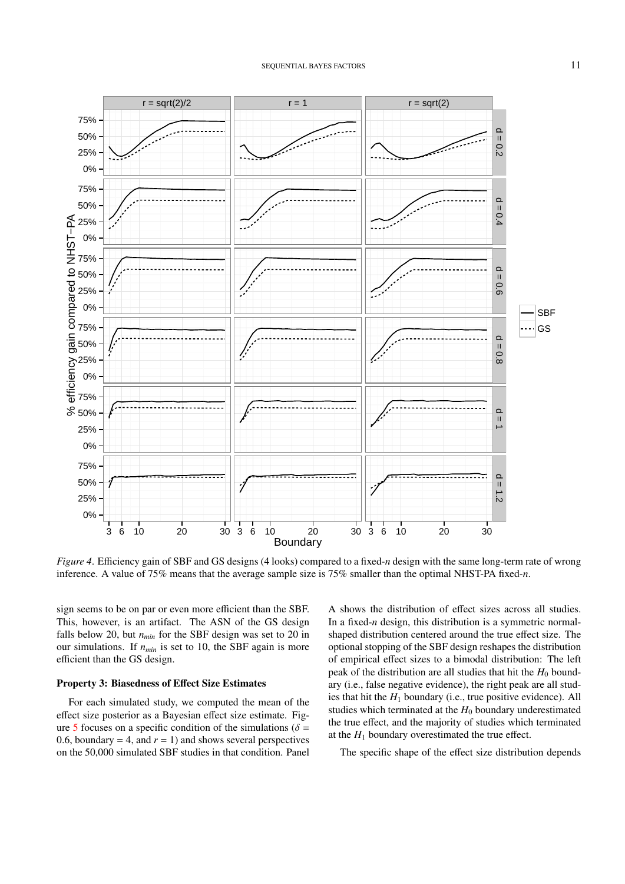<span id="page-10-0"></span>

*Figure 4*. Efficiency gain of SBF and GS designs (4 looks) compared to a fixed-*n* design with the same long-term rate of wrong inference. A value of 75% means that the average sample size is 75% smaller than the optimal NHST-PA fixed-*n*.

sign seems to be on par or even more efficient than the SBF. This, however, is an artifact. The ASN of the GS design falls below 20, but *nmin* for the SBF design was set to 20 in our simulations. If *nmin* is set to 10, the SBF again is more efficient than the GS design.

## Property 3: Biasedness of Effect Size Estimates

For each simulated study, we computed the mean of the effect size posterior as a Bayesian effect size estimate. Fig-ure [5](#page-12-0) focuses on a specific condition of the simulations ( $\delta$  = 0.6, boundary = 4, and  $r = 1$ ) and shows several perspectives on the 50,000 simulated SBF studies in that condition. Panel

A shows the distribution of effect sizes across all studies. In a fixed-*n* design, this distribution is a symmetric normalshaped distribution centered around the true effect size. The optional stopping of the SBF design reshapes the distribution of empirical effect sizes to a bimodal distribution: The left peak of the distribution are all studies that hit the  $H_0$  boundary (i.e., false negative evidence), the right peak are all studies that hit the  $H_1$  boundary (i.e., true positive evidence). All studies which terminated at the  $H_0$  boundary underestimated the true effect, and the majority of studies which terminated at the  $H_1$  boundary overestimated the true effect.

The specific shape of the effect size distribution depends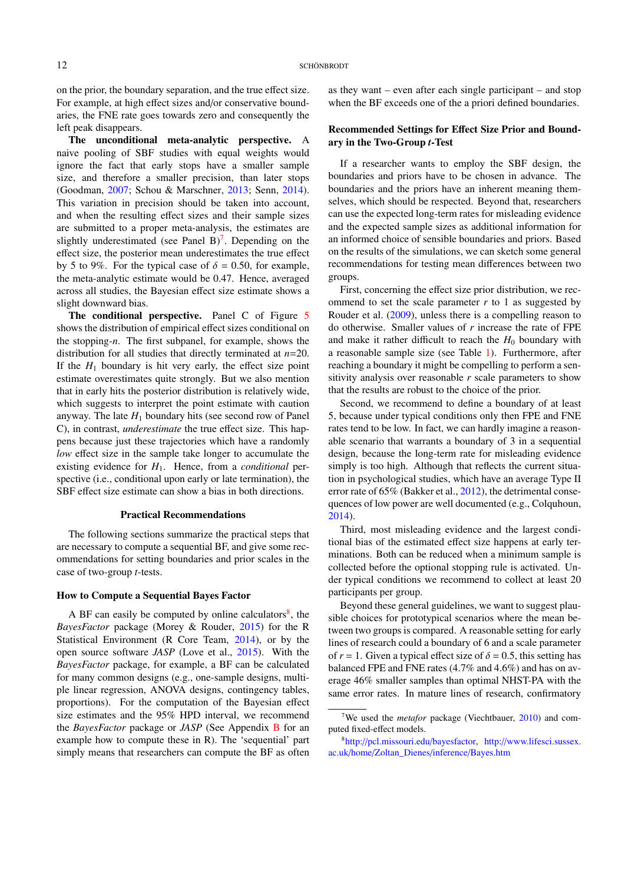on the prior, the boundary separation, and the true effect size. For example, at high effect sizes and/or conservative boundaries, the FNE rate goes towards zero and consequently the left peak disappears.

The unconditional meta-analytic perspective. A naive pooling of SBF studies with equal weights would ignore the fact that early stops have a smaller sample size, and therefore a smaller precision, than later stops (Goodman, [2007;](#page-16-15) Schou & Marschner, [2013;](#page-18-18) Senn, [2014\)](#page-18-20). This variation in precision should be taken into account, and when the resulting effect sizes and their sample sizes are submitted to a proper meta-analysis, the estimates are slightly underestimated (see Panel B)<sup>[7](#page-11-0)</sup>. Depending on the effect size, the posterior mean underestimates the true effect by 5 to 9%. For the typical case of  $\delta = 0.50$ , for example, the meta-analytic estimate would be 0.47. Hence, averaged across all studies, the Bayesian effect size estimate shows a slight downward bias.

The conditional perspective. Panel C of Figure [5](#page-12-0) shows the distribution of empirical effect sizes conditional on the stopping-*n*. The first subpanel, for example, shows the distribution for all studies that directly terminated at *n*=20. If the  $H_1$  boundary is hit very early, the effect size point estimate overestimates quite strongly. But we also mention that in early hits the posterior distribution is relatively wide, which suggests to interpret the point estimate with caution anyway. The late  $H_1$  boundary hits (see second row of Panel C), in contrast, *underestimate* the true effect size. This happens because just these trajectories which have a randomly *low* effect size in the sample take longer to accumulate the existing evidence for *H*1. Hence, from a *conditional* perspective (i.e., conditional upon early or late termination), the SBF effect size estimate can show a bias in both directions.

## Practical Recommendations

The following sections summarize the practical steps that are necessary to compute a sequential BF, and give some recommendations for setting boundaries and prior scales in the case of two-group *t*-tests.

## How to Compute a Sequential Bayes Factor

A BF can easily be computed by online calculators $\delta$ , the *BayesFactor* package (Morey & Rouder, [2015\)](#page-17-15) for the R Statistical Environment (R Core Team, [2014\)](#page-17-20), or by the open source software *JASP* (Love et al., [2015\)](#page-17-21). With the *BayesFactor* package, for example, a BF can be calculated for many common designs (e.g., one-sample designs, multiple linear regression, ANOVA designs, contingency tables, proportions). For the computation of the Bayesian effect size estimates and the 95% HPD interval, we recommend the *BayesFactor* package or *JASP* (See Appendix [B](#page-18-19) for an example how to compute these in R). The 'sequential' part simply means that researchers can compute the BF as often

as they want – even after each single participant – and stop when the BF exceeds one of the a priori defined boundaries.

# Recommended Settings for Effect Size Prior and Boundary in the Two-Group *t*-Test

If a researcher wants to employ the SBF design, the boundaries and priors have to be chosen in advance. The boundaries and the priors have an inherent meaning themselves, which should be respected. Beyond that, researchers can use the expected long-term rates for misleading evidence and the expected sample sizes as additional information for an informed choice of sensible boundaries and priors. Based on the results of the simulations, we can sketch some general recommendations for testing mean differences between two groups.

First, concerning the effect size prior distribution, we recommend to set the scale parameter  $r$  to 1 as suggested by Rouder et al. [\(2009\)](#page-17-0), unless there is a compelling reason to do otherwise. Smaller values of *r* increase the rate of FPE and make it rather difficult to reach the  $H_0$  boundary with a reasonable sample size (see Table [1\)](#page-9-0). Furthermore, after reaching a boundary it might be compelling to perform a sensitivity analysis over reasonable *r* scale parameters to show that the results are robust to the choice of the prior.

Second, we recommend to define a boundary of at least 5, because under typical conditions only then FPE and FNE rates tend to be low. In fact, we can hardly imagine a reasonable scenario that warrants a boundary of 3 in a sequential design, because the long-term rate for misleading evidence simply is too high. Although that reflects the current situation in psychological studies, which have an average Type II error rate of 65% (Bakker et al., [2012\)](#page-15-5), the detrimental consequences of low power are well documented (e.g., Colquhoun, [2014\)](#page-15-16).

Third, most misleading evidence and the largest conditional bias of the estimated effect size happens at early terminations. Both can be reduced when a minimum sample is collected before the optional stopping rule is activated. Under typical conditions we recommend to collect at least 20 participants per group.

Beyond these general guidelines, we want to suggest plausible choices for prototypical scenarios where the mean between two groups is compared. A reasonable setting for early lines of research could a boundary of 6 and a scale parameter of  $r = 1$ . Given a typical effect size of  $\delta = 0.5$ , this setting has balanced FPE and FNE rates (4.7% and 4.6%) and has on average 46% smaller samples than optimal NHST-PA with the same error rates. In mature lines of research, confirmatory

<span id="page-11-0"></span><sup>7</sup>We used the *metafor* package (Viechtbauer, [2010\)](#page-18-21) and computed fixed-effect models.

<span id="page-11-1"></span><sup>8</sup>http://[pcl.missouri.edu](http://pcl.missouri.edu/bayesfactor)/bayesfactor, http://[www.lifesci.sussex.](http://www.lifesci.sussex.ac.uk/home/Zoltan_Dienes/inference/Bayes.htm) ac.uk/home/[Zoltan\\_Dienes](http://www.lifesci.sussex.ac.uk/home/Zoltan_Dienes/inference/Bayes.htm)/inference/Bayes.htm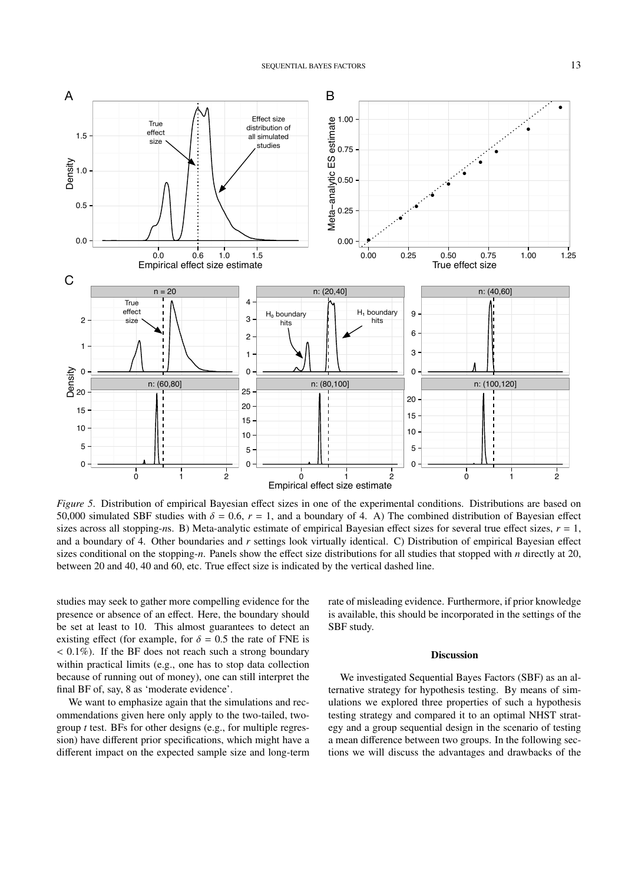<span id="page-12-0"></span>

*Figure 5*. Distribution of empirical Bayesian effect sizes in one of the experimental conditions. Distributions are based on 50,000 simulated SBF studies with  $\delta = 0.6$ ,  $r = 1$ , and a boundary of 4. A) The combined distribution of Bayesian effect sizes across all stopping-*n*s. B) Meta-analytic estimate of empirical Bayesian effect sizes for several true effect sizes, *r* = 1, and a boundary of 4. Other boundaries and *r* settings look virtually identical. C) Distribution of empirical Bayesian effect sizes conditional on the stopping-*n*. Panels show the effect size distributions for all studies that stopped with *n* directly at 20, between 20 and 40, 40 and 60, etc. True effect size is indicated by the vertical dashed line.

studies may seek to gather more compelling evidence for the presence or absence of an effect. Here, the boundary should be set at least to 10. This almost guarantees to detect an existing effect (for example, for  $\delta = 0.5$  the rate of FNE is  $< 0.1\%$ ). If the BF does not reach such a strong boundary within practical limits (e.g., one has to stop data collection because of running out of money), one can still interpret the final BF of, say, 8 as 'moderate evidence'.

We want to emphasize again that the simulations and recommendations given here only apply to the two-tailed, twogroup *t* test. BFs for other designs (e.g., for multiple regression) have different prior specifications, which might have a different impact on the expected sample size and long-term rate of misleading evidence. Furthermore, if prior knowledge is available, this should be incorporated in the settings of the SBF study.

#### Discussion

We investigated Sequential Bayes Factors (SBF) as an alternative strategy for hypothesis testing. By means of simulations we explored three properties of such a hypothesis testing strategy and compared it to an optimal NHST strategy and a group sequential design in the scenario of testing a mean difference between two groups. In the following sections we will discuss the advantages and drawbacks of the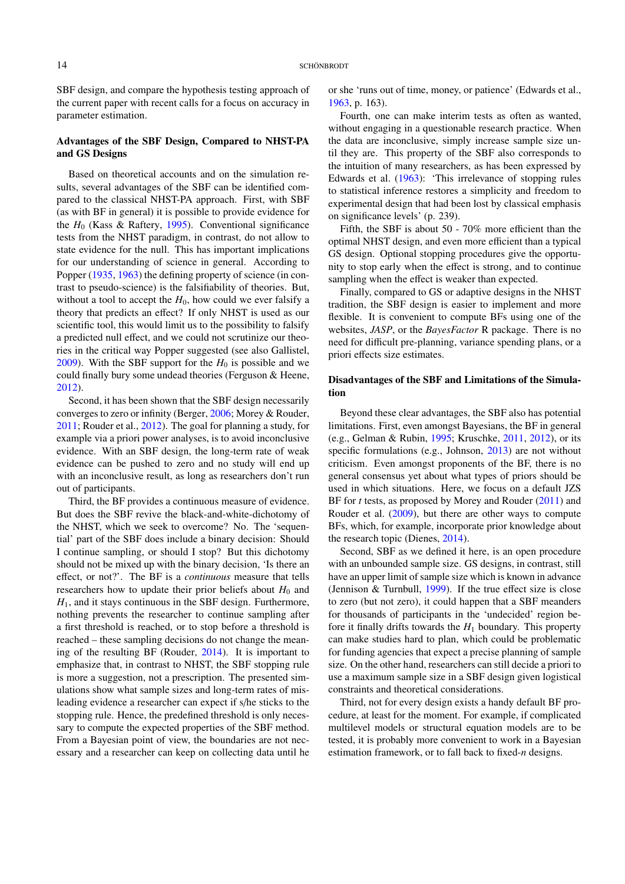SBF design, and compare the hypothesis testing approach of the current paper with recent calls for a focus on accuracy in parameter estimation.

# Advantages of the SBF Design, Compared to NHST-PA and GS Designs

Based on theoretical accounts and on the simulation results, several advantages of the SBF can be identified compared to the classical NHST-PA approach. First, with SBF (as with BF in general) it is possible to provide evidence for the *H*<sup>0</sup> (Kass & Raftery, [1995\)](#page-16-1). Conventional significance tests from the NHST paradigm, in contrast, do not allow to state evidence for the null. This has important implications for our understanding of science in general. According to Popper [\(1935,](#page-17-22) [1963\)](#page-17-23) the defining property of science (in contrast to pseudo-science) is the falsifiability of theories. But, without a tool to accept the  $H_0$ , how could we ever falsify a theory that predicts an effect? If only NHST is used as our scientific tool, this would limit us to the possibility to falsify a predicted null effect, and we could not scrutinize our theories in the critical way Popper suggested (see also Gallistel, [2009\)](#page-16-17). With the SBF support for the  $H_0$  is possible and we could finally bury some undead theories (Ferguson & Heene, [2012\)](#page-16-18).

Second, it has been shown that the SBF design necessarily converges to zero or infinity (Berger, [2006;](#page-15-11) Morey & Rouder, [2011;](#page-17-12) Rouder et al., [2012\)](#page-17-11). The goal for planning a study, for example via a priori power analyses, is to avoid inconclusive evidence. With an SBF design, the long-term rate of weak evidence can be pushed to zero and no study will end up with an inconclusive result, as long as researchers don't run out of participants.

Third, the BF provides a continuous measure of evidence. But does the SBF revive the black-and-white-dichotomy of the NHST, which we seek to overcome? No. The 'sequential' part of the SBF does include a binary decision: Should I continue sampling, or should I stop? But this dichotomy should not be mixed up with the binary decision, 'Is there an effect, or not?'. The BF is a *continuous* measure that tells researchers how to update their prior beliefs about  $H_0$  and *H*1, and it stays continuous in the SBF design. Furthermore, nothing prevents the researcher to continue sampling after a first threshold is reached, or to stop before a threshold is reached – these sampling decisions do not change the meaning of the resulting BF (Rouder, [2014\)](#page-17-16). It is important to emphasize that, in contrast to NHST, the SBF stopping rule is more a suggestion, not a prescription. The presented simulations show what sample sizes and long-term rates of misleading evidence a researcher can expect if s/he sticks to the stopping rule. Hence, the predefined threshold is only necessary to compute the expected properties of the SBF method. From a Bayesian point of view, the boundaries are not necessary and a researcher can keep on collecting data until he or she 'runs out of time, money, or patience' (Edwards et al., [1963,](#page-15-12) p. 163).

Fourth, one can make interim tests as often as wanted, without engaging in a questionable research practice. When the data are inconclusive, simply increase sample size until they are. This property of the SBF also corresponds to the intuition of many researchers, as has been expressed by Edwards et al. [\(1963\)](#page-15-12): 'This irrelevance of stopping rules to statistical inference restores a simplicity and freedom to experimental design that had been lost by classical emphasis on significance levels' (p. 239).

Fifth, the SBF is about 50 - 70% more efficient than the optimal NHST design, and even more efficient than a typical GS design. Optional stopping procedures give the opportunity to stop early when the effect is strong, and to continue sampling when the effect is weaker than expected.

Finally, compared to GS or adaptive designs in the NHST tradition, the SBF design is easier to implement and more flexible. It is convenient to compute BFs using one of the websites, *JASP*, or the *BayesFactor* R package. There is no need for difficult pre-planning, variance spending plans, or a priori effects size estimates.

# Disadvantages of the SBF and Limitations of the Simulation

Beyond these clear advantages, the SBF also has potential limitations. First, even amongst Bayesians, the BF in general (e.g., Gelman & Rubin, [1995;](#page-16-19) Kruschke, [2011,](#page-16-20) [2012\)](#page-16-0), or its specific formulations (e.g., Johnson, [2013\)](#page-16-21) are not without criticism. Even amongst proponents of the BF, there is no general consensus yet about what types of priors should be used in which situations. Here, we focus on a default JZS BF for *t* tests, as proposed by Morey and Rouder [\(2011\)](#page-17-12) and Rouder et al. [\(2009\)](#page-17-0), but there are other ways to compute BFs, which, for example, incorporate prior knowledge about the research topic (Dienes, [2014\)](#page-15-13).

Second, SBF as we defined it here, is an open procedure with an unbounded sample size. GS designs, in contrast, still have an upper limit of sample size which is known in advance (Jennison & Turnbull, [1999\)](#page-16-22). If the true effect size is close to zero (but not zero), it could happen that a SBF meanders for thousands of participants in the 'undecided' region before it finally drifts towards the  $H_1$  boundary. This property can make studies hard to plan, which could be problematic for funding agencies that expect a precise planning of sample size. On the other hand, researchers can still decide a priori to use a maximum sample size in a SBF design given logistical constraints and theoretical considerations.

Third, not for every design exists a handy default BF procedure, at least for the moment. For example, if complicated multilevel models or structural equation models are to be tested, it is probably more convenient to work in a Bayesian estimation framework, or to fall back to fixed-*n* designs.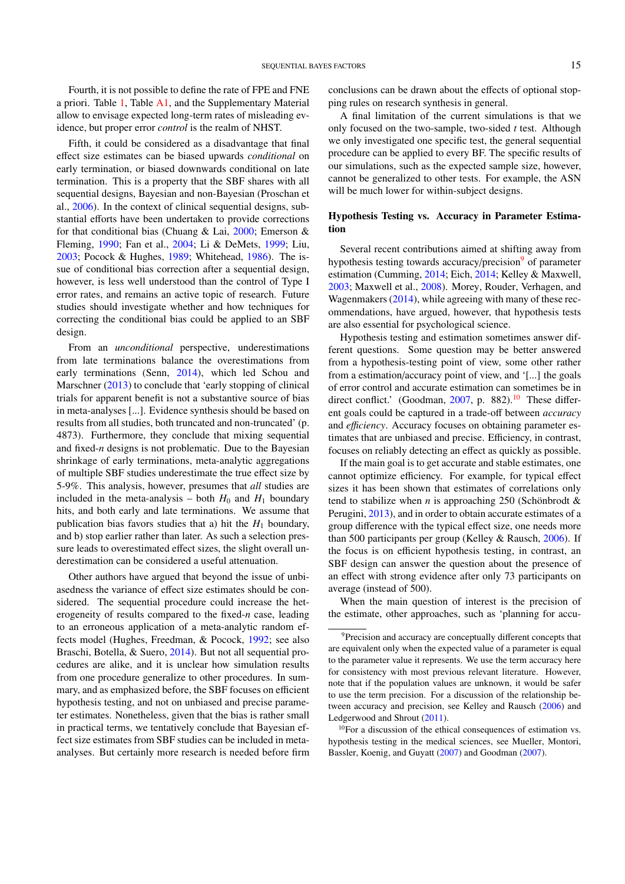Fourth, it is not possible to define the rate of FPE and FNE a priori. Table [1,](#page-9-0) Table [A1,](#page-19-0) and the Supplementary Material allow to envisage expected long-term rates of misleading evidence, but proper error *control* is the realm of NHST.

Fifth, it could be considered as a disadvantage that final effect size estimates can be biased upwards *conditional* on early termination, or biased downwards conditional on late termination. This is a property that the SBF shares with all sequential designs, Bayesian and non-Bayesian (Proschan et al., [2006\)](#page-17-10). In the context of clinical sequential designs, substantial efforts have been undertaken to provide corrections for that conditional bias (Chuang & Lai,  $2000$ ; Emerson & Fleming, [1990;](#page-16-23) Fan et al., [2004;](#page-16-16) Li & DeMets, [1999;](#page-17-24) Liu, [2003;](#page-17-25) Pocock & Hughes, [1989;](#page-17-26) Whitehead, [1986\)](#page-18-16). The issue of conditional bias correction after a sequential design, however, is less well understood than the control of Type I error rates, and remains an active topic of research. Future studies should investigate whether and how techniques for correcting the conditional bias could be applied to an SBF design.

From an *unconditional* perspective, underestimations from late terminations balance the overestimations from early terminations (Senn, [2014\)](#page-18-20), which led Schou and Marschner [\(2013\)](#page-18-18) to conclude that 'early stopping of clinical trials for apparent benefit is not a substantive source of bias in meta-analyses [...]. Evidence synthesis should be based on results from all studies, both truncated and non-truncated' (p. 4873). Furthermore, they conclude that mixing sequential and fixed-*n* designs is not problematic. Due to the Bayesian shrinkage of early terminations, meta-analytic aggregations of multiple SBF studies underestimate the true effect size by 5-9%. This analysis, however, presumes that *all* studies are included in the meta-analysis – both  $H_0$  and  $H_1$  boundary hits, and both early and late terminations. We assume that publication bias favors studies that a) hit the  $H_1$  boundary, and b) stop earlier rather than later. As such a selection pressure leads to overestimated effect sizes, the slight overall underestimation can be considered a useful attenuation.

Other authors have argued that beyond the issue of unbiasedness the variance of effect size estimates should be considered. The sequential procedure could increase the heterogeneity of results compared to the fixed-*n* case, leading to an erroneous application of a meta-analytic random effects model (Hughes, Freedman, & Pocock, [1992;](#page-16-24) see also Braschi, Botella, & Suero, [2014\)](#page-15-18). But not all sequential procedures are alike, and it is unclear how simulation results from one procedure generalize to other procedures. In summary, and as emphasized before, the SBF focuses on efficient hypothesis testing, and not on unbiased and precise parameter estimates. Nonetheless, given that the bias is rather small in practical terms, we tentatively conclude that Bayesian effect size estimates from SBF studies can be included in metaanalyses. But certainly more research is needed before firm conclusions can be drawn about the effects of optional stopping rules on research synthesis in general.

A final limitation of the current simulations is that we only focused on the two-sample, two-sided *t* test. Although we only investigated one specific test, the general sequential procedure can be applied to every BF. The specific results of our simulations, such as the expected sample size, however, cannot be generalized to other tests. For example, the ASN will be much lower for within-subject designs.

# Hypothesis Testing vs. Accuracy in Parameter Estimation

Several recent contributions aimed at shifting away from hypothesis testing towards accuracy/precision<sup>[9](#page-14-0)</sup> of parameter estimation (Cumming, [2014;](#page-15-1) Eich, [2014;](#page-16-25) Kelley & Maxwell, [2003;](#page-16-26) Maxwell et al., [2008\)](#page-17-7). Morey, Rouder, Verhagen, and Wagenmakers [\(2014\)](#page-17-27), while agreeing with many of these recommendations, have argued, however, that hypothesis tests are also essential for psychological science.

Hypothesis testing and estimation sometimes answer different questions. Some question may be better answered from a hypothesis-testing point of view, some other rather from a estimation/accuracy point of view, and '[...] the goals of error control and accurate estimation can sometimes be in direct conflict.' (Goodman,  $2007$ , p. 882).<sup>[10](#page-14-1)</sup> These different goals could be captured in a trade-off between *accuracy* and *efficiency*. Accuracy focuses on obtaining parameter estimates that are unbiased and precise. Efficiency, in contrast, focuses on reliably detecting an effect as quickly as possible.

If the main goal is to get accurate and stable estimates, one cannot optimize efficiency. For example, for typical effect sizes it has been shown that estimates of correlations only tend to stabilize when *n* is approaching 250 (Schönbrodt & Perugini, [2013\)](#page-18-8), and in order to obtain accurate estimates of a group difference with the typical effect size, one needs more than 500 participants per group (Kelley & Rausch, [2006\)](#page-16-27). If the focus is on efficient hypothesis testing, in contrast, an SBF design can answer the question about the presence of an effect with strong evidence after only 73 participants on average (instead of 500).

When the main question of interest is the precision of the estimate, other approaches, such as 'planning for accu-

<span id="page-14-1"></span> $10$ For a discussion of the ethical consequences of estimation vs. hypothesis testing in the medical sciences, see Mueller, Montori, Bassler, Koenig, and Guyatt [\(2007\)](#page-17-28) and Goodman [\(2007\)](#page-16-15).

<span id="page-14-0"></span><sup>&</sup>lt;sup>9</sup>Precision and accuracy are conceptually different concepts that are equivalent only when the expected value of a parameter is equal to the parameter value it represents. We use the term accuracy here for consistency with most previous relevant literature. However, note that if the population values are unknown, it would be safer to use the term precision. For a discussion of the relationship between accuracy and precision, see Kelley and Rausch [\(2006\)](#page-16-27) and Ledgerwood and Shrout [\(2011\)](#page-16-28).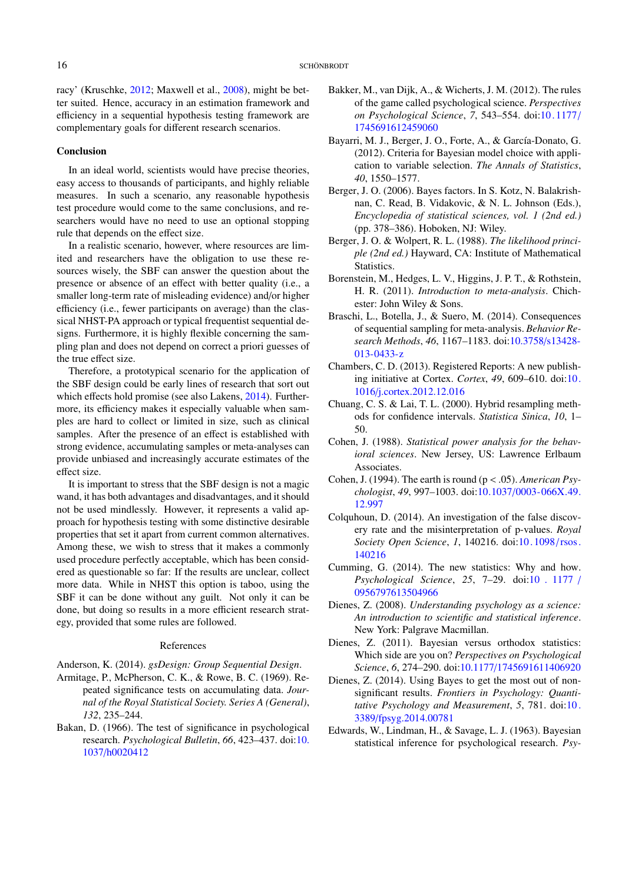racy' (Kruschke, [2012;](#page-16-0) Maxwell et al., [2008\)](#page-17-7), might be better suited. Hence, accuracy in an estimation framework and efficiency in a sequential hypothesis testing framework are complementary goals for different research scenarios.

## Conclusion

In an ideal world, scientists would have precise theories, easy access to thousands of participants, and highly reliable measures. In such a scenario, any reasonable hypothesis test procedure would come to the same conclusions, and researchers would have no need to use an optional stopping rule that depends on the effect size.

In a realistic scenario, however, where resources are limited and researchers have the obligation to use these resources wisely, the SBF can answer the question about the presence or absence of an effect with better quality (i.e., a smaller long-term rate of misleading evidence) and/or higher efficiency (i.e., fewer participants on average) than the classical NHST-PA approach or typical frequentist sequential designs. Furthermore, it is highly flexible concerning the sampling plan and does not depend on correct a priori guesses of the true effect size.

Therefore, a prototypical scenario for the application of the SBF design could be early lines of research that sort out which effects hold promise (see also Lakens, [2014\)](#page-16-8). Furthermore, its efficiency makes it especially valuable when samples are hard to collect or limited in size, such as clinical samples. After the presence of an effect is established with strong evidence, accumulating samples or meta-analyses can provide unbiased and increasingly accurate estimates of the effect size.

It is important to stress that the SBF design is not a magic wand, it has both advantages and disadvantages, and it should not be used mindlessly. However, it represents a valid approach for hypothesis testing with some distinctive desirable properties that set it apart from current common alternatives. Among these, we wish to stress that it makes a commonly used procedure perfectly acceptable, which has been considered as questionable so far: If the results are unclear, collect more data. While in NHST this option is taboo, using the SBF it can be done without any guilt. Not only it can be done, but doing so results in a more efficient research strategy, provided that some rules are followed.

#### References

<span id="page-15-10"></span>Anderson, K. (2014). *gsDesign: Group Sequential Design*.

- <span id="page-15-9"></span>Armitage, P., McPherson, C. K., & Rowe, B. C. (1969). Repeated significance tests on accumulating data. *Journal of the Royal Statistical Society. Series A (General)*, *132*, 235–244.
- <span id="page-15-7"></span>Bakan, D. (1966). The test of significance in psychological research. *Psychological Bulletin*, *66*, 423–437. doi[:10.](http://dx.doi.org/10.1037/h0020412) 1037/[h0020412](http://dx.doi.org/10.1037/h0020412)
- <span id="page-15-5"></span>Bakker, M., van Dijk, A., & Wicherts, J. M. (2012). The rules of the game called psychological science. *Perspectives on Psychological Science*, *7*, 543–554. doi[:10. 1177](http://dx.doi.org/10.1177/1745691612459060)/ [1745691612459060](http://dx.doi.org/10.1177/1745691612459060)
- <span id="page-15-14"></span>Bayarri, M. J., Berger, J. O., Forte, A., & García-Donato, G. (2012). Criteria for Bayesian model choice with application to variable selection. *The Annals of Statistics*, *40*, 1550–1577.
- <span id="page-15-11"></span>Berger, J. O. (2006). Bayes factors. In S. Kotz, N. Balakrishnan, C. Read, B. Vidakovic, & N. L. Johnson (Eds.), *Encyclopedia of statistical sciences, vol. 1 (2nd ed.)* (pp. 378–386). Hoboken, NJ: Wiley.
- <span id="page-15-2"></span>Berger, J. O. & Wolpert, R. L. (1988). *The likelihood principle (2nd ed.)* Hayward, CA: Institute of Mathematical Statistics.
- <span id="page-15-15"></span>Borenstein, M., Hedges, L. V., Higgins, J. P. T., & Rothstein, H. R. (2011). *Introduction to meta-analysis*. Chichester: John Wiley & Sons.
- <span id="page-15-18"></span>Braschi, L., Botella, J., & Suero, M. (2014). Consequences of sequential sampling for meta-analysis. *Behavior Research Methods*, *46*, 1167–1183. doi[:10.3758](http://dx.doi.org/10.3758/s13428-013-0433-z)/s13428- [013-0433-z](http://dx.doi.org/10.3758/s13428-013-0433-z)
- <span id="page-15-8"></span>Chambers, C. D. (2013). Registered Reports: A new publishing initiative at Cortex. *Cortex*, *49*, 609–610. doi[:10.](http://dx.doi.org/10.1016/j.cortex.2012.12.016) 1016/[j.cortex.2012.12.016](http://dx.doi.org/10.1016/j.cortex.2012.12.016)
- <span id="page-15-17"></span>Chuang, C. S. & Lai, T. L. (2000). Hybrid resampling methods for confidence intervals. *Statistica Sinica*, *10*, 1– 50.
- <span id="page-15-4"></span>Cohen, J. (1988). *Statistical power analysis for the behavioral sciences*. New Jersey, US: Lawrence Erlbaum Associates.
- <span id="page-15-6"></span>Cohen, J. (1994). The earth is round (p < .05). *American Psychologist*, *49*, 997–1003. doi:10.1037/[0003-066X.49.](http://dx.doi.org/10.1037/0003-066X.49.12.997) [12.997](http://dx.doi.org/10.1037/0003-066X.49.12.997)
- <span id="page-15-16"></span>Colquhoun, D. (2014). An investigation of the false discovery rate and the misinterpretation of p-values. *Royal Society Open Science*, *1*, 140216. doi[:10. 1098](http://dx.doi.org/10.1098/rsos.140216)/rsos. [140216](http://dx.doi.org/10.1098/rsos.140216)
- <span id="page-15-1"></span>Cumming, G. (2014). The new statistics: Why and how. *Psychological Science*, *25*, 7–29. doi[:10 . 1177](http://dx.doi.org/10.1177/0956797613504966) / [0956797613504966](http://dx.doi.org/10.1177/0956797613504966)
- <span id="page-15-0"></span>Dienes, Z. (2008). *Understanding psychology as a science: An introduction to scientific and statistical inference*. New York: Palgrave Macmillan.
- <span id="page-15-3"></span>Dienes, Z. (2011). Bayesian versus orthodox statistics: Which side are you on? *Perspectives on Psychological Science*, *6*, 274–290. doi:10.1177/[1745691611406920](http://dx.doi.org/10.1177/1745691611406920)
- <span id="page-15-13"></span>Dienes, Z. (2014). Using Bayes to get the most out of nonsignificant results. *Frontiers in Psychology: Quantitative Psychology and Measurement*, *5*, 781. doi[:10 .](http://dx.doi.org/10.3389/fpsyg.2014.00781) 3389/[fpsyg.2014.00781](http://dx.doi.org/10.3389/fpsyg.2014.00781)
- <span id="page-15-12"></span>Edwards, W., Lindman, H., & Savage, L. J. (1963). Bayesian statistical inference for psychological research. *Psy-*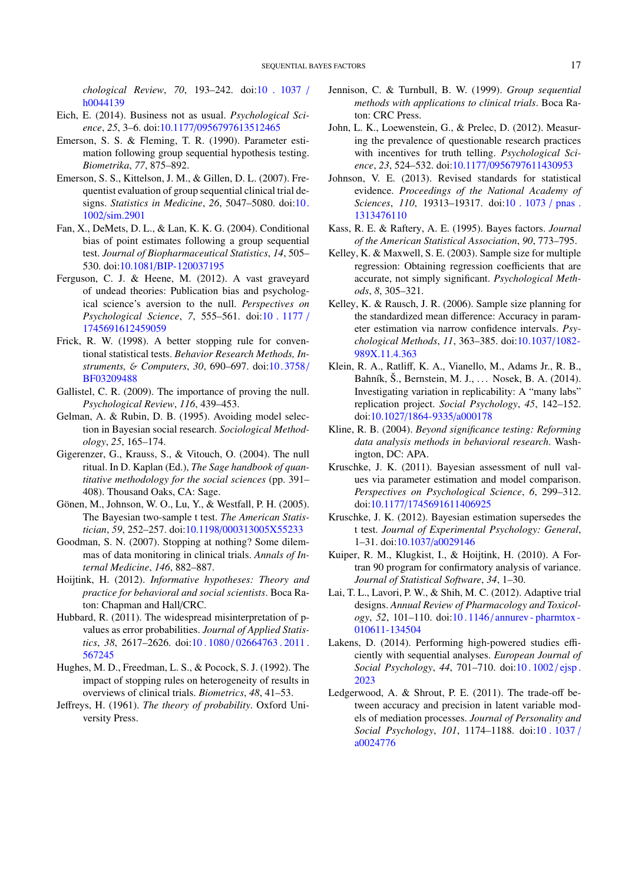*chological Review*, *70*, 193–242. doi[:10 . 1037](http://dx.doi.org/10.1037/h0044139) / [h0044139](http://dx.doi.org/10.1037/h0044139)

- <span id="page-16-25"></span>Eich, E. (2014). Business not as usual. *Psychological Science*, *25*, 3–6. doi:10.1177/[0956797613512465](http://dx.doi.org/10.1177/0956797613512465)
- <span id="page-16-23"></span>Emerson, S. S. & Fleming, T. R. (1990). Parameter estimation following group sequential hypothesis testing. *Biometrika*, *77*, 875–892.
- <span id="page-16-14"></span>Emerson, S. S., Kittelson, J. M., & Gillen, D. L. (2007). Frequentist evaluation of group sequential clinical trial designs. *Statistics in Medicine*, *26*, 5047–5080. doi[:10.](http://dx.doi.org/10.1002/sim.2901) 1002/[sim.2901](http://dx.doi.org/10.1002/sim.2901)
- <span id="page-16-16"></span>Fan, X., DeMets, D. L., & Lan, K. K. G. (2004). Conditional bias of point estimates following a group sequential test. *Journal of Biopharmaceutical Statistics*, *14*, 505– 530. doi:10.1081/[BIP-120037195](http://dx.doi.org/10.1081/BIP-120037195)
- <span id="page-16-18"></span>Ferguson, C. J. & Heene, M. (2012). A vast graveyard of undead theories: Publication bias and psychological science's aversion to the null. *Perspectives on Psychological Science*, *7*, 555–561. doi[:10 . 1177](http://dx.doi.org/10.1177/1745691612459059) / [1745691612459059](http://dx.doi.org/10.1177/1745691612459059)
- <span id="page-16-9"></span>Frick, R. W. (1998). A better stopping rule for conventional statistical tests. *Behavior Research Methods, Instruments,* & *Computers*, *30*, 690–697. doi[:10. 3758](http://dx.doi.org/10.3758/BF03209488)/ [BF03209488](http://dx.doi.org/10.3758/BF03209488)
- <span id="page-16-17"></span>Gallistel, C. R. (2009). The importance of proving the null. *Psychological Review*, *116*, 439–453.
- <span id="page-16-19"></span>Gelman, A. & Rubin, D. B. (1995). Avoiding model selection in Bayesian social research. *Sociological Methodology*, *25*, 165–174.
- <span id="page-16-4"></span>Gigerenzer, G., Krauss, S., & Vitouch, O. (2004). The null ritual. In D. Kaplan (Ed.), *The Sage handbook of quantitative methodology for the social sciences* (pp. 391– 408). Thousand Oaks, CA: Sage.
- <span id="page-16-11"></span>Gönen, M., Johnson, W. O., Lu, Y., & Westfall, P. H. (2005). The Bayesian two-sample t test. *The American Statistician*, *59*, 252–257. doi:10.1198/[000313005X55233](http://dx.doi.org/10.1198/000313005X55233)
- <span id="page-16-15"></span>Goodman, S. N. (2007). Stopping at nothing? Some dilemmas of data monitoring in clinical trials. *Annals of Internal Medicine*, *146*, 882–887.
- <span id="page-16-13"></span>Hoijtink, H. (2012). *Informative hypotheses: Theory and practice for behavioral and social scientists*. Boca Raton: Chapman and Hall/CRC.
- <span id="page-16-5"></span>Hubbard, R. (2011). The widespread misinterpretation of pvalues as error probabilities. *Journal of Applied Statistics*, *38*, 2617–2626. doi:10 . 1080 / [02664763 . 2011 .](http://dx.doi.org/10.1080/02664763.2011.567245) [567245](http://dx.doi.org/10.1080/02664763.2011.567245)
- <span id="page-16-24"></span>Hughes, M. D., Freedman, L. S., & Pocock, S. J. (1992). The impact of stopping rules on heterogeneity of results in overviews of clinical trials. *Biometrics*, *48*, 41–53.
- <span id="page-16-10"></span>Jeffreys, H. (1961). *The theory of probability*. Oxford University Press.
- <span id="page-16-22"></span>Jennison, C. & Turnbull, B. W. (1999). *Group sequential methods with applications to clinical trials*. Boca Raton: CRC Press.
- <span id="page-16-6"></span>John, L. K., Loewenstein, G., & Prelec, D. (2012). Measuring the prevalence of questionable research practices with incentives for truth telling. *Psychological Science*, *23*, 524–532. doi:10.1177/[0956797611430953](http://dx.doi.org/10.1177/0956797611430953)
- <span id="page-16-21"></span>Johnson, V. E. (2013). Revised standards for statistical evidence. *Proceedings of the National Academy of Sciences*, *110*, 19313–19317. doi[:10 . 1073](http://dx.doi.org/10.1073/pnas.1313476110) / pnas . [1313476110](http://dx.doi.org/10.1073/pnas.1313476110)
- <span id="page-16-1"></span>Kass, R. E. & Raftery, A. E. (1995). Bayes factors. *Journal of the American Statistical Association*, *90*, 773–795.
- <span id="page-16-26"></span>Kelley, K. & Maxwell, S. E. (2003). Sample size for multiple regression: Obtaining regression coefficients that are accurate, not simply significant. *Psychological Methods*, *8*, 305–321.
- <span id="page-16-27"></span>Kelley, K. & Rausch, J. R. (2006). Sample size planning for the standardized mean difference: Accuracy in parameter estimation via narrow confidence intervals. *Psychological Methods*, *11*, 363–385. doi[:10.1037](http://dx.doi.org/10.1037/1082-989X.11.4.363)/1082- [989X.11.4.363](http://dx.doi.org/10.1037/1082-989X.11.4.363)
- <span id="page-16-2"></span>Klein, R. A., Ratliff, K. A., Vianello, M., Adams Jr., R. B., Bahník, Š., Bernstein, M. J., ... Nosek, B. A. (2014). Investigating variation in replicability: A "many labs" replication project. *Social Psychology*, *45*, 142–152. doi:10.1027/[1864-9335](http://dx.doi.org/10.1027/1864-9335/a000178)/a000178
- <span id="page-16-3"></span>Kline, R. B. (2004). *Beyond significance testing: Reforming data analysis methods in behavioral research*. Washington, DC: APA.
- <span id="page-16-20"></span>Kruschke, J. K. (2011). Bayesian assessment of null values via parameter estimation and model comparison. *Perspectives on Psychological Science*, *6*, 299–312. doi:10.1177/[1745691611406925](http://dx.doi.org/10.1177/1745691611406925)
- <span id="page-16-0"></span>Kruschke, J. K. (2012). Bayesian estimation supersedes the t test. *Journal of Experimental Psychology: General*, 1–31. doi:10.1037/[a0029146](http://dx.doi.org/10.1037/a0029146)
- <span id="page-16-12"></span>Kuiper, R. M., Klugkist, I., & Hoijtink, H. (2010). A Fortran 90 program for confirmatory analysis of variance. *Journal of Statistical Software*, *34*, 1–30.
- <span id="page-16-7"></span>Lai, T. L., Lavori, P. W., & Shih, M. C. (2012). Adaptive trial designs. *Annual Review of Pharmacology and Toxicology*, *52*, 101–110. doi:10 . 1146 / [annurev - pharmtox -](http://dx.doi.org/10.1146/annurev-pharmtox-010611-134504) [010611-134504](http://dx.doi.org/10.1146/annurev-pharmtox-010611-134504)
- <span id="page-16-8"></span>Lakens, D. (2014). Performing high-powered studies efficiently with sequential analyses. *European Journal of Social Psychology*, *44*, 701–710. doi[:10 . 1002](http://dx.doi.org/10.1002/ejsp.2023) / ejsp . [2023](http://dx.doi.org/10.1002/ejsp.2023)
- <span id="page-16-28"></span>Ledgerwood, A. & Shrout, P. E. (2011). The trade-off between accuracy and precision in latent variable models of mediation processes. *Journal of Personality and Social Psychology*, *101*, 1174–1188. doi[:10 . 1037](http://dx.doi.org/10.1037/a0024776) / [a0024776](http://dx.doi.org/10.1037/a0024776)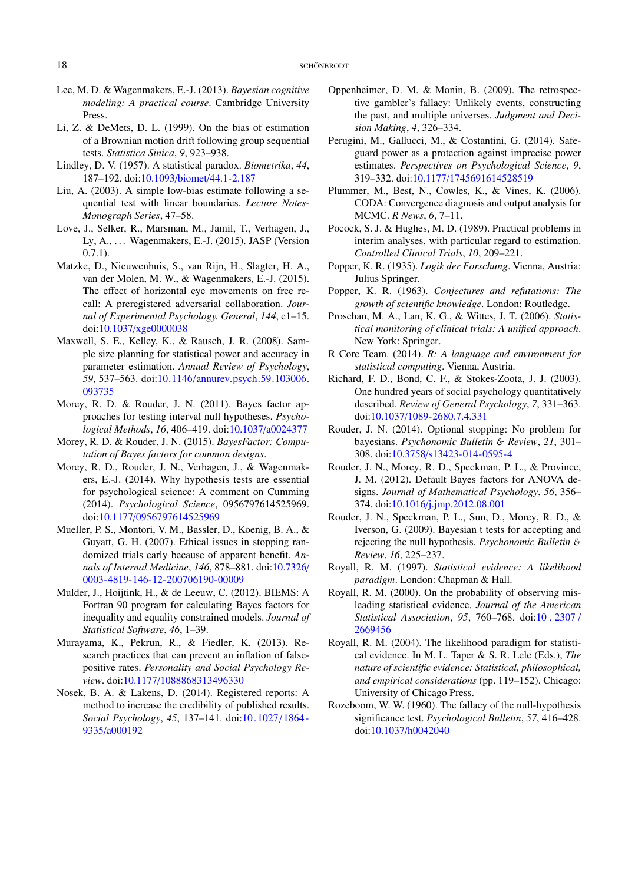- <span id="page-17-14"></span>Lee, M. D. & Wagenmakers, E.-J. (2013). *Bayesian cognitive modeling: A practical course*. Cambridge University Press.
- <span id="page-17-24"></span>Li, Z. & DeMets, D. L. (1999). On the bias of estimation of a Brownian motion drift following group sequential tests. *Statistica Sinica*, *9*, 923–938.
- <span id="page-17-1"></span>Lindley, D. V. (1957). A statistical paradox. *Biometrika*, *44*, 187–192. doi:10.1093/biomet/[44.1-2.187](http://dx.doi.org/10.1093/biomet/44.1-2.187)
- <span id="page-17-25"></span>Liu, A. (2003). A simple low-bias estimate following a sequential test with linear boundaries. *Lecture Notes-Monograph Series*, 47–58.
- <span id="page-17-21"></span>Love, J., Selker, R., Marsman, M., Jamil, T., Verhagen, J., Ly, A., ... Wagenmakers, E.-J. (2015). JASP (Version  $0.7.1$ ).
- <span id="page-17-2"></span>Matzke, D., Nieuwenhuis, S., van Rijn, H., Slagter, H. A., van der Molen, M. W., & Wagenmakers, E.-J. (2015). The effect of horizontal eye movements on free recall: A preregistered adversarial collaboration. *Journal of Experimental Psychology. General*, *144*, e1–15. doi:10.1037/[xge0000038](http://dx.doi.org/10.1037/xge0000038)
- <span id="page-17-7"></span>Maxwell, S. E., Kelley, K., & Rausch, J. R. (2008). Sample size planning for statistical power and accuracy in parameter estimation. *Annual Review of Psychology*, *59*, 537–563. doi:10.1146/[annurev.psych.59.103006.](http://dx.doi.org/10.1146/annurev.psych.59.103006.093735) [093735](http://dx.doi.org/10.1146/annurev.psych.59.103006.093735)
- <span id="page-17-12"></span>Morey, R. D. & Rouder, J. N. (2011). Bayes factor approaches for testing interval null hypotheses. *Psychological Methods*, *16*, 406–419. doi:10.1037/[a0024377](http://dx.doi.org/10.1037/a0024377)
- <span id="page-17-15"></span>Morey, R. D. & Rouder, J. N. (2015). *BayesFactor: Computation of Bayes factors for common designs*.
- <span id="page-17-27"></span>Morey, R. D., Rouder, J. N., Verhagen, J., & Wagenmakers, E.-J. (2014). Why hypothesis tests are essential for psychological science: A comment on Cumming (2014). *Psychological Science*, 0956797614525969. doi:10.1177/[0956797614525969](http://dx.doi.org/10.1177/0956797614525969)
- <span id="page-17-28"></span>Mueller, P. S., Montori, V. M., Bassler, D., Koenig, B. A., & Guyatt, G. H. (2007). Ethical issues in stopping randomized trials early because of apparent benefit. *Annals of Internal Medicine*, *146*, 878–881. doi[:10.7326](http://dx.doi.org/10.7326/0003-4819-146-12-200706190-00009)/ [0003-4819-146-12-200706190-00009](http://dx.doi.org/10.7326/0003-4819-146-12-200706190-00009)
- <span id="page-17-13"></span>Mulder, J., Hoijtink, H., & de Leeuw, C. (2012). BIEMS: A Fortran 90 program for calculating Bayes factors for inequality and equality constrained models. *Journal of Statistical Software*, *46*, 1–39.
- <span id="page-17-9"></span>Murayama, K., Pekrun, R., & Fiedler, K. (2013). Research practices that can prevent an inflation of falsepositive rates. *Personality and Social Psychology Review*. doi:10.1177/[1088868313496330](http://dx.doi.org/10.1177/1088868313496330)
- <span id="page-17-8"></span>Nosek, B. A. & Lakens, D. (2014). Registered reports: A method to increase the credibility of published results. *Social Psychology*, *45*, 137–141. doi[:10. 1027](http://dx.doi.org/10.1027/1864-9335/a000192)/1864 - 9335/[a000192](http://dx.doi.org/10.1027/1864-9335/a000192)
- <span id="page-17-3"></span>Oppenheimer, D. M. & Monin, B. (2009). The retrospective gambler's fallacy: Unlikely events, constructing the past, and multiple universes. *Judgment and Decision Making*, *4*, 326–334.
- <span id="page-17-5"></span>Perugini, M., Gallucci, M., & Costantini, G. (2014). Safeguard power as a protection against imprecise power estimates. *Perspectives on Psychological Science*, *9*, 319–332. doi:10.1177/[1745691614528519](http://dx.doi.org/10.1177/1745691614528519)
- <span id="page-17-29"></span>Plummer, M., Best, N., Cowles, K., & Vines, K. (2006). CODA: Convergence diagnosis and output analysis for MCMC. *R News*, *6*, 7–11.
- <span id="page-17-26"></span>Pocock, S. J. & Hughes, M. D. (1989). Practical problems in interim analyses, with particular regard to estimation. *Controlled Clinical Trials*, *10*, 209–221.
- <span id="page-17-22"></span>Popper, K. R. (1935). *Logik der Forschung*. Vienna, Austria: Julius Springer.
- <span id="page-17-23"></span>Popper, K. R. (1963). *Conjectures and refutations: The growth of scientific knowledge*. London: Routledge.
- <span id="page-17-10"></span>Proschan, M. A., Lan, K. G., & Wittes, J. T. (2006). *Statistical monitoring of clinical trials: A unified approach*. New York: Springer.
- <span id="page-17-20"></span>R Core Team. (2014). *R: A language and environment for statistical computing*. Vienna, Austria.
- <span id="page-17-19"></span>Richard, F. D., Bond, C. F., & Stokes-Zoota, J. J. (2003). One hundred years of social psychology quantitatively described. *Review of General Psychology*, *7*, 331–363. doi:10.1037/[1089-2680.7.4.331](http://dx.doi.org/10.1037/1089-2680.7.4.331)
- <span id="page-17-16"></span>Rouder, J. N. (2014). Optional stopping: No problem for bayesians. *Psychonomic Bulletin* & *Review*, *21*, 301– 308. doi:10.3758/[s13423-014-0595-4](http://dx.doi.org/10.3758/s13423-014-0595-4)
- <span id="page-17-11"></span>Rouder, J. N., Morey, R. D., Speckman, P. L., & Province, J. M. (2012). Default Bayes factors for ANOVA designs. *Journal of Mathematical Psychology*, *56*, 356– 374. doi:10.1016/[j.jmp.2012.08.001](http://dx.doi.org/10.1016/j.jmp.2012.08.001)
- <span id="page-17-0"></span>Rouder, J. N., Speckman, P. L., Sun, D., Morey, R. D., & Iverson, G. (2009). Bayesian t tests for accepting and rejecting the null hypothesis. *Psychonomic Bulletin* & *Review*, *16*, 225–237.
- <span id="page-17-6"></span>Royall, R. M. (1997). *Statistical evidence: A likelihood paradigm*. London: Chapman & Hall.
- <span id="page-17-17"></span>Royall, R. M. (2000). On the probability of observing misleading statistical evidence. *Journal of the American Statistical Association*, *95*, 760–768. doi[:10 . 2307](http://dx.doi.org/10.2307/2669456) / [2669456](http://dx.doi.org/10.2307/2669456)
- <span id="page-17-18"></span>Royall, R. M. (2004). The likelihood paradigm for statistical evidence. In M. L. Taper & S. R. Lele (Eds.), *The nature of scientific evidence: Statistical, philosophical, and empirical considerations* (pp. 119–152). Chicago: University of Chicago Press.
- <span id="page-17-4"></span>Rozeboom, W. W. (1960). The fallacy of the null-hypothesis significance test. *Psychological Bulletin*, *57*, 416–428. doi:10.1037/[h0042040](http://dx.doi.org/10.1037/h0042040)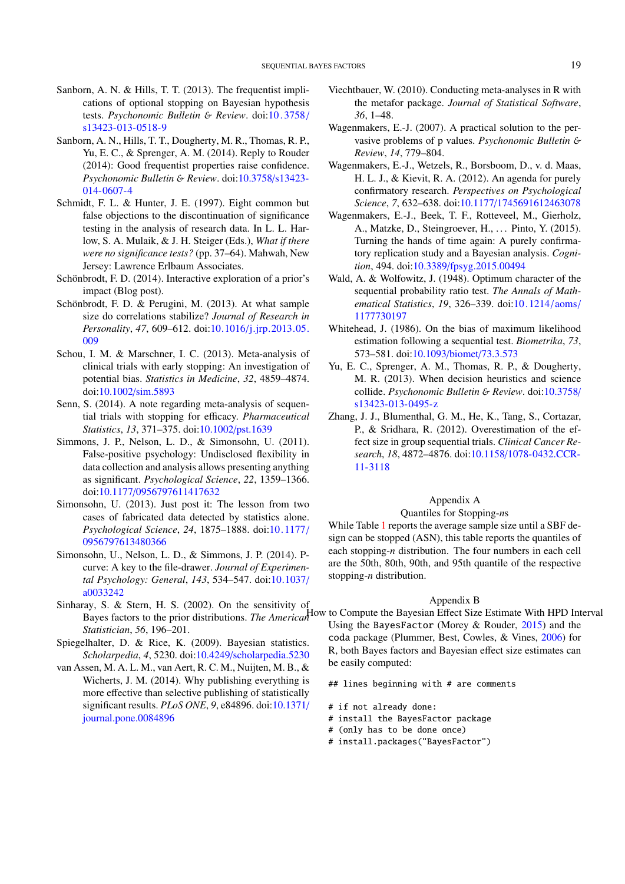- <span id="page-18-12"></span>Sanborn, A. N. & Hills, T. T. (2013). The frequentist implications of optional stopping on Bayesian hypothesis tests. *Psychonomic Bulletin* & *Review*. doi[:10 . 3758](http://dx.doi.org/10.3758/s13423-013-0518-9) / [s13423-013-0518-9](http://dx.doi.org/10.3758/s13423-013-0518-9)
- <span id="page-18-2"></span>Sanborn, A. N., Hills, T. T., Dougherty, M. R., Thomas, R. P., Yu, E. C., & Sprenger, A. M. (2014). Reply to Rouder (2014): Good frequentist properties raise confidence. *Psychonomic Bulletin* & *Review*. doi[:10.3758](http://dx.doi.org/10.3758/s13423-014-0607-4)/s13423- [014-0607-4](http://dx.doi.org/10.3758/s13423-014-0607-4)
- <span id="page-18-5"></span>Schmidt, F. L. & Hunter, J. E. (1997). Eight common but false objections to the discontinuation of significance testing in the analysis of research data. In L. L. Harlow, S. A. Mulaik, & J. H. Steiger (Eds.), *What if there were no significance tests?* (pp. 37–64). Mahwah, New Jersey: Lawrence Erlbaum Associates.
- <span id="page-18-14"></span>Schönbrodt, F. D. (2014). Interactive exploration of a prior's impact (Blog post).
- <span id="page-18-8"></span>Schönbrodt, F. D. & Perugini, M. (2013). At what sample size do correlations stabilize? *Journal of Research in Personality*, *47*, 609–612. doi:10.1016/[j.jrp.2013.05.](http://dx.doi.org/10.1016/j.jrp.2013.05.009) [009](http://dx.doi.org/10.1016/j.jrp.2013.05.009)
- <span id="page-18-18"></span>Schou, I. M. & Marschner, I. C. (2013). Meta-analysis of clinical trials with early stopping: An investigation of potential bias. *Statistics in Medicine*, *32*, 4859–4874. doi:10.1002/[sim.5893](http://dx.doi.org/10.1002/sim.5893)
- <span id="page-18-20"></span>Senn, S. (2014). A note regarding meta-analysis of sequential trials with stopping for efficacy. *Pharmaceutical Statistics*, *13*, 371–375. doi:10.1002/[pst.1639](http://dx.doi.org/10.1002/pst.1639)
- <span id="page-18-3"></span>Simmons, J. P., Nelson, L. D., & Simonsohn, U. (2011). False-positive psychology: Undisclosed flexibility in data collection and analysis allows presenting anything as significant. *Psychological Science*, *22*, 1359–1366. doi:10.1177/[0956797611417632](http://dx.doi.org/10.1177/0956797611417632)
- <span id="page-18-4"></span>Simonsohn, U. (2013). Just post it: The lesson from two cases of fabricated data detected by statistics alone. *Psychological Science*, *24*, 1875–1888. doi[:10.1177](http://dx.doi.org/10.1177/0956797613480366)/ [0956797613480366](http://dx.doi.org/10.1177/0956797613480366)
- <span id="page-18-7"></span>Simonsohn, U., Nelson, L. D., & Simmons, J. P. (2014). Pcurve: A key to the file-drawer. *Journal of Experimental Psychology: General*, *143*, 534–547. doi[:10.1037](http://dx.doi.org/10.1037/a0033242)/ [a0033242](http://dx.doi.org/10.1037/a0033242)
- <span id="page-18-13"></span>Sinharay, S. & Stern, H. S. (2002). On the sensitivity of *Statistician*, *56*, 196–201.
- <span id="page-18-15"></span>Spiegelhalter, D. & Rice, K. (2009). Bayesian statistics. *Scholarpedia*, *4*, 5230. doi:10.4249/[scholarpedia.5230](http://dx.doi.org/10.4249/scholarpedia.5230)
- <span id="page-18-10"></span>van Assen, M. A. L. M., van Aert, R. C. M., Nuijten, M. B., & Wicherts, J. M. (2014). Why publishing everything is more effective than selective publishing of statistically significant results. *PLoS ONE*, *9*, e84896. doi[:10.1371](http://dx.doi.org/10.1371/journal.pone.0084896)/ [journal.pone.0084896](http://dx.doi.org/10.1371/journal.pone.0084896)
- <span id="page-18-21"></span>Viechtbauer, W. (2010). Conducting meta-analyses in R with the metafor package. *Journal of Statistical Software*, *36*, 1–48.
- <span id="page-18-6"></span>Wagenmakers, E.-J. (2007). A practical solution to the pervasive problems of p values. *Psychonomic Bulletin* & *Review*, *14*, 779–804.
- <span id="page-18-0"></span>Wagenmakers, E.-J., Wetzels, R., Borsboom, D., v. d. Maas, H. L. J., & Kievit, R. A. (2012). An agenda for purely confirmatory research. *Perspectives on Psychological Science*, *7*, 632–638. doi:10.1177/[1745691612463078](http://dx.doi.org/10.1177/1745691612463078)
- <span id="page-18-1"></span>Wagenmakers, E.-J., Beek, T. F., Rotteveel, M., Gierholz, A., Matzke, D., Steingroever, H., ... Pinto, Y. (2015). Turning the hands of time again: A purely confirmatory replication study and a Bayesian analysis. *Cognition*, 494. doi:10.3389/[fpsyg.2015.00494](http://dx.doi.org/10.3389/fpsyg.2015.00494)
- <span id="page-18-11"></span>Wald, A. & Wolfowitz, J. (1948). Optimum character of the sequential probability ratio test. *The Annals of Mathematical Statistics*, *19*, 326–339. doi[:10. 1214](http://dx.doi.org/10.1214/aoms/1177730197)/ aoms/ [1177730197](http://dx.doi.org/10.1214/aoms/1177730197)
- <span id="page-18-16"></span>Whitehead, J. (1986). On the bias of maximum likelihood estimation following a sequential test. *Biometrika*, *73*, 573–581. doi:10.1093/biomet/[73.3.573](http://dx.doi.org/10.1093/biomet/73.3.573)
- <span id="page-18-9"></span>Yu, E. C., Sprenger, A. M., Thomas, R. P., & Dougherty, M. R. (2013). When decision heuristics and science collide. *Psychonomic Bulletin* & *Review*. doi[:10.3758](http://dx.doi.org/10.3758/s13423-013-0495-z)/ [s13423-013-0495-z](http://dx.doi.org/10.3758/s13423-013-0495-z)
- <span id="page-18-17"></span>Zhang, J. J., Blumenthal, G. M., He, K., Tang, S., Cortazar, P., & Sridhara, R. (2012). Overestimation of the effect size in group sequential trials. *Clinical Cancer Research*, *18*, 4872–4876. doi:10.1158/[1078-0432.CCR-](http://dx.doi.org/10.1158/1078-0432.CCR-11-3118)[11-3118](http://dx.doi.org/10.1158/1078-0432.CCR-11-3118)

# Appendix A

#### Quantiles for Stopping-*n*s

<span id="page-18-19"></span>While Table [1](#page-9-0) reports the average sample size until a SBF design can be stopped (ASN), this table reports the quantiles of each stopping-*n* distribution. The four numbers in each cell are the 50th, 80th, 90th, and 95th quantile of the respective stopping-*n* distribution.

#### Appendix B

Bayes factors to the prior distributions. *The American*<br>
How to Compute the Bayesian Effect Size Estimate With HPD Interval Using the BayesFactor (Morey & Rouder, [2015\)](#page-17-15) and the coda package (Plummer, Best, Cowles, & Vines, [2006\)](#page-17-29) for R, both Bayes factors and Bayesian effect size estimates can be easily computed:

## lines beginning with # are comments

- # if not already done:
- # install the BayesFactor package
- # (only has to be done once)
- # install.packages("BayesFactor")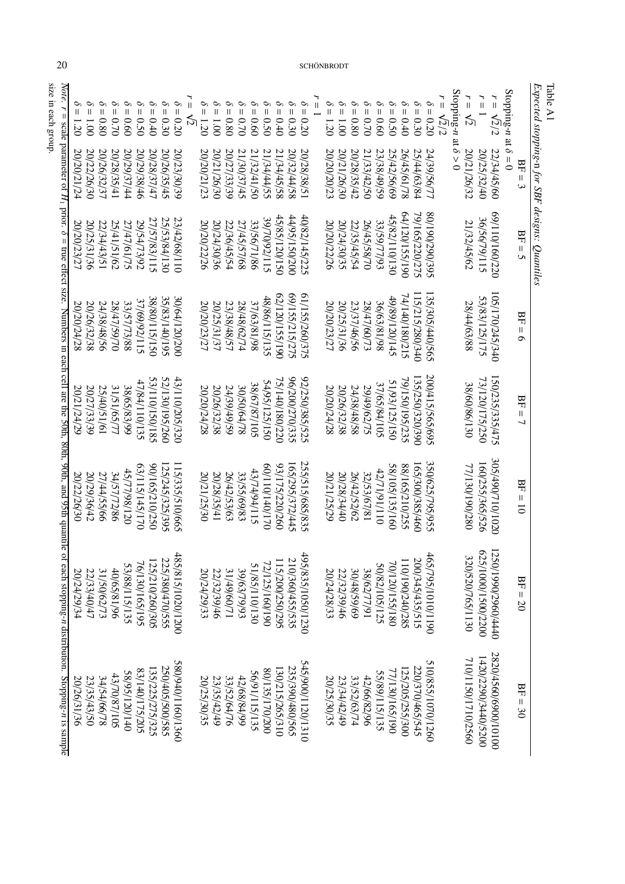<span id="page-19-0"></span>

|                                                                                                      | $= 1.20$    | $00'1 =$    | $\mathcal{O}$<br>$= 0.80$ | $\mathcal{O}$<br>$0.70 =$ | $\mathcal{O}$<br>$-0.60$ | $\mathcal{S}$<br>$= 0.50$ | $\delta=0.40$   | $\delta = 0.30$ | $\mathcal{O}$<br>$= 0.20$ | ۳<br>$\frac{1}{2}$ | $\mathcal{O}$<br>$= 1.20$ | $\delta = 1.00$ | $\delta = 0.80$    | $\mathcal{O}$<br>$0.70 = 0$ | $= 0.60$      | $\sigma$ $\sigma$<br>$= 0.50$ | $\mathcal{S}$<br>$-0.40$ | $\delta = 0.30$ | $\delta=0.20$     | $r=1$ | $\delta = 1.20$ | $\mathcal{O}$<br>$-1.001$ | $\mathcal{O}$<br>$= 0.80$ | $\delta = 0.60$<br>$\delta = 0.70$ |               | $\delta = 0.30$<br>$\delta = 0.40$<br>$\delta = 0.50$ |                 |                 | $\mathcal{O}$<br>$= 0.20$ | $r = \sqrt{2}/2$ | Stopping- <i>n</i> at $\delta > 0$ | $r = \sqrt{2}$     | $r=1$               | $\frac{1}{1}$<br>$\sqrt{2}/2$ | Stopping- <i>n</i> at $\delta = 0$ |                          | Table A1                                       |
|------------------------------------------------------------------------------------------------------|-------------|-------------|---------------------------|---------------------------|--------------------------|---------------------------|-----------------|-----------------|---------------------------|--------------------|---------------------------|-----------------|--------------------|-----------------------------|---------------|-------------------------------|--------------------------|-----------------|-------------------|-------|-----------------|---------------------------|---------------------------|------------------------------------|---------------|-------------------------------------------------------|-----------------|-----------------|---------------------------|------------------|------------------------------------|--------------------|---------------------|-------------------------------|------------------------------------|--------------------------|------------------------------------------------|
| <i>Note.</i> $r = scale parameter of H_1$                                                            | 20/20/21/24 | 20/22/26/30 | 20/26/32/37               | 20/28/35/41               | 20/29/37/44              | 20/29/38/46               | 20/28/37/47     | 20/26/35/45     | 20/23/30/39               |                    | 20/20/21/23               | 20/21/26/30     | 20/27/33/39        | 21/30/37/45                 | 21/32/41/50   | 21/34/44/55                   | 21/34/45/58              | 20/32/44/58     | 20/28/38/51       |       | 20/20/20/23     | 20/21/26/30               | 20/28/35/42               | 21/33/42/50                        | 23/38/49/59   | 25/42/56/69                                           | 26/45/61/78     | 25/44/63/84     | 24/39/56/77               |                  |                                    | 20/21/26/32        | 20/25/32/40         | 22/34/45/60                   |                                    | $BF = 3$                 |                                                |
|                                                                                                      | 20/20/23/27 | 20/25/31/36 | 22/34/43/51               | 25/41/51/62               | 27/47/61/75              | 29/54/73/92               | 27/57/83/115    | 25/53/84/130    | 23/42/68/110              |                    | 20/20/22/26               | 20/24/30/36     | 22/36/45/54        | 27/45/57/68                 | 33/56/71/86   | 39/70/92/115                  | 45/85/120/150            | 00Z/0S/120/500  | 40/82/145/225     |       | 20/20/22/26     | 20/24/30/35               | 22/35/45/54               | 26/45/58/70                        | 33/59/77/93   | 45/82/110/130                                         | 04/120/155/190  | 79/165/220/275  | \$62/067/061/08           |                  |                                    | 21/32/45/62        | 36/56/79/115        | 69/110/160/220                |                                    | $BF = 5$                 | Expected stopping-n for SBF designs: Quantiles |
| prior. $\delta$ = true effect size. Numbers in each cell are the 50th, 80th, 90th, and 95th quantile | 20/20/24/28 | 20/26/32/38 | 24/38/48/56               | 28/47/59/70               | 33/57/73/88              | 37/69/92/115              | 38/80/115/150   | 35/83/140/195   | 30/64/120/200             |                    | 20/20/23/27               | 20/25/31/37     | 23/38/48/57        | 28/48/62/74                 | 37/63/81/98   | 48/86/115/135                 | 62/120/155/190           | 69/155/215/275  | 61/155/260/375    |       | 20/20/23/27     | 20/25/31/36               | 23/37/46/56               | 28/47/60/73                        | 36/18/81/98   | 49/89/120/145                                         | 74/140/180/215  | 115/215/280/340 | 35/305/440/565            |                  |                                    | 28/44/63/88        | 53/83/125/175       | 105/170/245/340               |                                    | $BF = 6$                 |                                                |
|                                                                                                      | 20/21/24/29 | 20/27/33/39 | 25/40/51/61               | 31/51/65/77               | 38/65/83/99              | 47/84/110/135             | S81/051/011/25  | 52/130/195/260  | 43/110/205/320            |                    | 20/20/24/28               | 20/26/32/38     | <b>6S/6t/6S/tZ</b> | 30/50/64/78                 | 38/67/87/105  | 54/95/125/150                 | 75/140/180/220           | 96/200/270/335  | 92/250/385/525    |       | 20/20/24/28     | 20/26/32/38               | 24/38/48/58               | 29/49/62/75                        | 37/65/84/105  | 51/25/125/150                                         | 79/150/195/235  | 135/250/320/390 | 200/415/565/695           |                  |                                    | 38/60/86/130       | 73/120/175/250      | 50/235/335/475                |                                    | $BF =$<br>$\overline{ }$ |                                                |
|                                                                                                      | 20/22/26/30 | 20/29/36/42 | 27/44/55/66               | 34/57/72/86               | 45/77/98/120             | 07115/145/170             | 022/012/210/250 | 125/245/325/395 | 15/335/510/665            |                    | 20/21/25/30               | 20/28/35/41     | 26/42/53/63        | 33/55/69/83                 | 43/74/94/115  | 07110/140/170                 | 93/175/220/260           | 165/295/372/445 | 255/515/685/835   |       | 20/21/25/29     | 20/28/34/40               | 26/42/52/62               | 32/53/67/81                        | 42/71/91/110  | 58/105/135/160                                        | 88/165/210/255  | 165/300/385/460 | 350/625/795/955           |                  |                                    | 77/130/190/280     | 160/255/365/526     | 305/490/710/1020              |                                    | $BF = 10$                |                                                |
|                                                                                                      | 20/24/29/34 | 22/33/40/47 | 31/50/62/73               | 40/65/81/96               | 53/88/115/135            | 76/130/165/195            | 125/210/260/305 | 225/380/470/555 | 485/815/1020/1200         |                    | 20/24/29/33               | 22/32/39/46     | 31/49/60/71        | 39/63/79/93                 | 51/85/110/130 | 72/125/160/190                | 115/200/250/295          | 210/360/455/535 | 495/835/1050/1230 |       | 20/24/28/33     | 22/32/39/46               | 90/48/59/69               | 38/62/77/91                        | 50/82/105/125 | 70/120/155/180                                        | 110/190/240/285 | 200/345/435/515 | 0611/0101/S6L/S9+         |                  |                                    | 320/520/765/1130   | 0022/000/1500/2200  | 250/1990/2960/4440            |                                    | $BF = 20$                |                                                |
| of each stopping-n distribution. Stopping-n is sample                                                | 20/26/31/36 | 23/35/43/50 | 34/54/66/78               | 43/70/87/105              | 041/071/56/85            | S2/140/175/205            | 135/225/275/325 | 250/405/500/585 | 580/940/1160/1360         |                    | 20/25/30/35               | 23/35/42/49     | 33/52/64/76        | 42/68/84/99                 | 56/91/115/135 | 002/071/25/170/200            | 130/215/265/310          | 235/390/480/565 | 545/900/1120/1310 |       | 20/25/30/35     | 23/34/42/49               | 33/52/63/74               | 42/66/82/96                        | 55/89/115/135 | 77/130/165/190                                        | 125/205/255/300 | 220/370/465/545 | 510/855/1070/1260         |                  |                                    | 710/1150/1710/2560 | 1420/2290/3440/5200 | 2820/4560/6900/10100          |                                    | $BF = 30$                |                                                |

20 SCHÖNBRODT